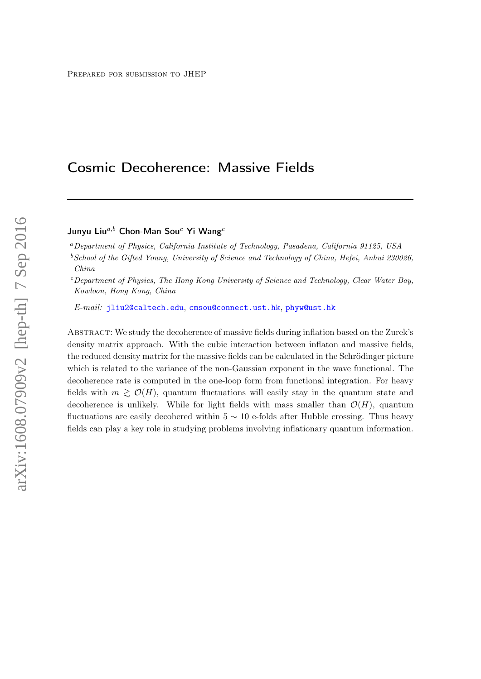# Cosmic Decoherence: Massive Fields

Junyu Liu $^{a,b}$  Chon-Man Sou<sup>c</sup> Yi Wang<sup>c</sup>

<sup>a</sup>Department of Physics, California Institute of Technology, Pasadena, California 91125, USA

 $b$  School of the Gifted Young, University of Science and Technology of China, Hefei, Anhui 230026, China

 $c$  Department of Physics, The Hong Kong University of Science and Technology, Clear Water Bay, Kowloon, Hong Kong, China

E-mail: [jliu2@caltech.edu](mailto:jliu2@caltech.edu), [cmsou@connect.ust.hk](mailto:cmsou@connect.ust.hk), [phyw@ust.hk](mailto:phyw@ust.hk)

Abstract: We study the decoherence of massive fields during inflation based on the Zurek's density matrix approach. With the cubic interaction between inflaton and massive fields, the reduced density matrix for the massive fields can be calculated in the Schrödinger picture which is related to the variance of the non-Gaussian exponent in the wave functional. The decoherence rate is computed in the one-loop form from functional integration. For heavy fields with  $m \geq \mathcal{O}(H)$ , quantum fluctuations will easily stay in the quantum state and decoherence is unlikely. While for light fields with mass smaller than  $\mathcal{O}(H)$ , quantum fluctuations are easily decohered within  $5 \sim 10$  e-folds after Hubble crossing. Thus heavy fields can play a key role in studying problems involving inflationary quantum information.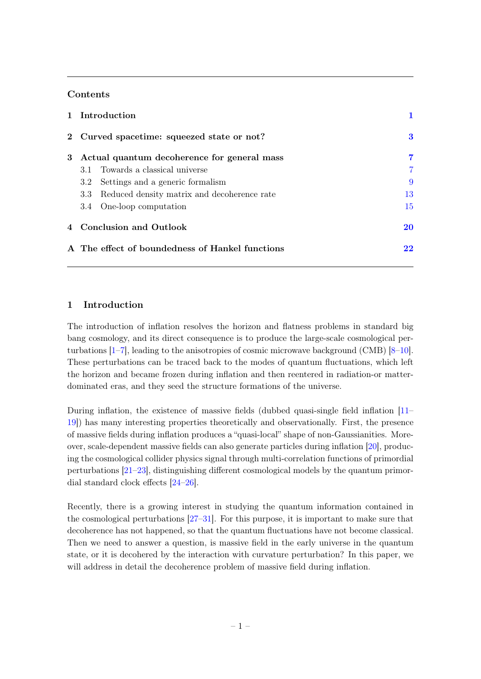# **Contents**

|   | 1 Introduction                                     |                |
|---|----------------------------------------------------|----------------|
|   | 2 Curved spacetime: squeezed state or not?         | 3              |
| 3 | Actual quantum decoherence for general mass        | 7              |
|   | 3.1 Towards a classical universe                   | $\overline{7}$ |
|   | Settings and a generic formalism<br>3.2            | 9              |
|   | Reduced density matrix and decoherence rate<br>3.3 | 13             |
|   | 3.4 One-loop computation                           | 15             |
|   | 4 Conclusion and Outlook                           | <b>20</b>      |
|   | A The effect of boundedness of Hankel functions    | 22             |

# <span id="page-1-0"></span>1 Introduction

The introduction of inflation resolves the horizon and flatness problems in standard big bang cosmology, and its direct consequence is to produce the large-scale cosmological perturbations [\[1](#page-23-0)[–7\]](#page-24-0), leading to the anisotropies of cosmic microwave background (CMB) [\[8–](#page-24-1)[10\]](#page-24-2). These perturbations can be traced back to the modes of quantum fluctuations, which left the horizon and became frozen during inflation and then reentered in radiation-or matterdominated eras, and they seed the structure formations of the universe.

During inflation, the existence of massive fields (dubbed quasi-single field inflation [\[11–](#page-24-3) [19\]](#page-24-4)) has many interesting properties theoretically and observationally. First, the presence of massive fields during inflation produces a "quasi-local" shape of non-Gaussianities. Moreover, scale-dependent massive fields can also generate particles during inflation [\[20\]](#page-24-5), producing the cosmological collider physics signal through multi-correlation functions of primordial perturbations [\[21](#page-24-6)[–23\]](#page-24-7), distinguishing different cosmological models by the quantum primordial standard clock effects [\[24](#page-24-8)[–26\]](#page-24-9).

Recently, there is a growing interest in studying the quantum information contained in the cosmological perturbations [\[27–](#page-24-10)[31\]](#page-24-11). For this purpose, it is important to make sure that decoherence has not happened, so that the quantum fluctuations have not become classical. Then we need to answer a question, is massive field in the early universe in the quantum state, or it is decohered by the interaction with curvature perturbation? In this paper, we will address in detail the decoherence problem of massive field during inflation.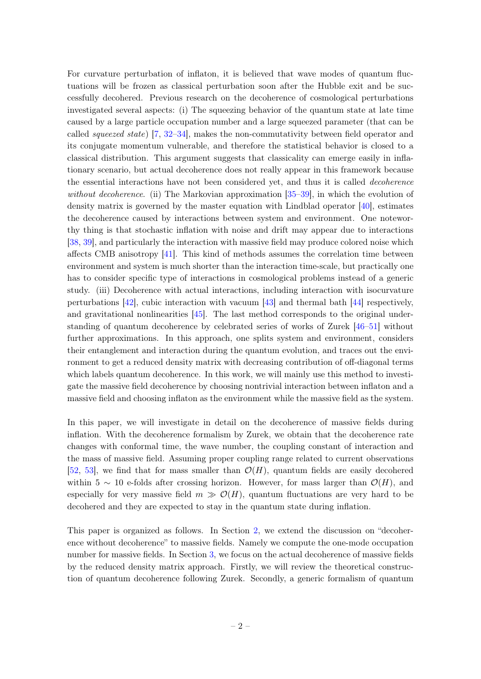For curvature perturbation of inflaton, it is believed that wave modes of quantum fluctuations will be frozen as classical perturbation soon after the Hubble exit and be successfully decohered. Previous research on the decoherence of cosmological perturbations investigated several aspects: (i) The squeezing behavior of the quantum state at late time caused by a large particle occupation number and a large squeezed parameter (that can be called squeezed state) [\[7,](#page-24-0) [32](#page-24-12)[–34\]](#page-24-13), makes the non-commutativity between field operator and its conjugate momentum vulnerable, and therefore the statistical behavior is closed to a classical distribution. This argument suggests that classicality can emerge easily in inflationary scenario, but actual decoherence does not really appear in this framework because the essential interactions have not been considered yet, and thus it is called decoherence without decoherence. (ii) The Markovian approximation [\[35–](#page-24-14)[39\]](#page-25-0), in which the evolution of density matrix is governed by the master equation with Lindblad operator  $[40]$ , estimates the decoherence caused by interactions between system and environment. One noteworthy thing is that stochastic inflation with noise and drift may appear due to interactions [\[38,](#page-25-2) [39\]](#page-25-0), and particularly the interaction with massive field may produce colored noise which affects CMB anisotropy [\[41\]](#page-25-3). This kind of methods assumes the correlation time between environment and system is much shorter than the interaction time-scale, but practically one has to consider specific type of interactions in cosmological problems instead of a generic study. (iii) Decoherence with actual interactions, including interaction with isocurvature perturbations [\[42\]](#page-25-4), cubic interaction with vacuum [\[43\]](#page-25-5) and thermal bath [\[44\]](#page-25-6) respectively, and gravitational nonlinearities [\[45\]](#page-25-7). The last method corresponds to the original understanding of quantum decoherence by celebrated series of works of Zurek [\[46–](#page-25-8)[51\]](#page-25-9) without further approximations. In this approach, one splits system and environment, considers their entanglement and interaction during the quantum evolution, and traces out the environment to get a reduced density matrix with decreasing contribution of off-diagonal terms which labels quantum decoherence. In this work, we will mainly use this method to investigate the massive field decoherence by choosing nontrivial interaction between inflaton and a massive field and choosing inflaton as the environment while the massive field as the system.

In this paper, we will investigate in detail on the decoherence of massive fields during inflation. With the decoherence formalism by Zurek, we obtain that the decoherence rate changes with conformal time, the wave number, the coupling constant of interaction and the mass of massive field. Assuming proper coupling range related to current observations [\[52,](#page-25-10) [53\]](#page-25-11), we find that for mass smaller than  $\mathcal{O}(H)$ , quantum fields are easily decohered within 5  $\sim$  10 e-folds after crossing horizon. However, for mass larger than  $\mathcal{O}(H)$ , and especially for very massive field  $m \gg \mathcal{O}(H)$ , quantum fluctuations are very hard to be decohered and they are expected to stay in the quantum state during inflation.

This paper is organized as follows. In Section [2,](#page-3-0) we extend the discussion on "decoherence without decoherence" to massive fields. Namely we compute the one-mode occupation number for massive fields. In Section [3,](#page-7-0) we focus on the actual decoherence of massive fields by the reduced density matrix approach. Firstly, we will review the theoretical construction of quantum decoherence following Zurek. Secondly, a generic formalism of quantum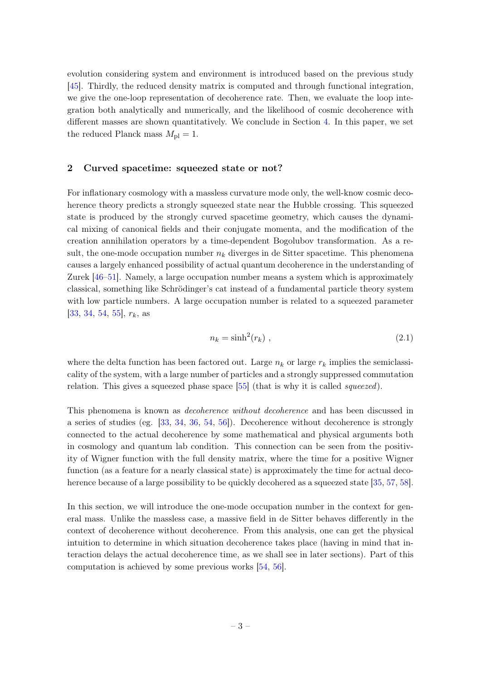evolution considering system and environment is introduced based on the previous study [\[45\]](#page-25-7). Thirdly, the reduced density matrix is computed and through functional integration, we give the one-loop representation of decoherence rate. Then, we evaluate the loop integration both analytically and numerically, and the likelihood of cosmic decoherence with different masses are shown quantitatively. We conclude in Section [4.](#page-20-0) In this paper, we set the reduced Planck mass  $M_{\rm pl} = 1$ .

#### <span id="page-3-0"></span>2 Curved spacetime: squeezed state or not?

For inflationary cosmology with a massless curvature mode only, the well-know cosmic decoherence theory predicts a strongly squeezed state near the Hubble crossing. This squeezed state is produced by the strongly curved spacetime geometry, which causes the dynamical mixing of canonical fields and their conjugate momenta, and the modification of the creation annihilation operators by a time-dependent Bogolubov transformation. As a result, the one-mode occupation number  $n_k$  diverges in de Sitter spacetime. This phenomena causes a largely enhanced possibility of actual quantum decoherence in the understanding of Zurek [\[46](#page-25-8)[–51\]](#page-25-9). Namely, a large occupation number means a system which is approximately classical, something like Schrödinger's cat instead of a fundamental particle theory system with low particle numbers. A large occupation number is related to a squeezed parameter [\[33,](#page-24-15) [34,](#page-24-13) [54,](#page-25-12) [55\]](#page-25-13),  $r_k$ , as

$$
n_k = \sinh^2(r_k) \tag{2.1}
$$

where the delta function has been factored out. Large  $n_k$  or large  $r_k$  implies the semiclassicality of the system, with a large number of particles and a strongly suppressed commutation relation. This gives a squeezed phase space [\[55\]](#page-25-13) (that is why it is called squeezed).

This phenomena is known as decoherence without decoherence and has been discussed in a series of studies (eg. [\[33,](#page-24-15) [34,](#page-24-13) [36,](#page-24-16) [54,](#page-25-12) [56\]](#page-25-14)). Decoherence without decoherence is strongly connected to the actual decoherence by some mathematical and physical arguments both in cosmology and quantum lab condition. This connection can be seen from the positivity of Wigner function with the full density matrix, where the time for a positive Wigner function (as a feature for a nearly classical state) is approximately the time for actual deco-herence because of a large possibility to be quickly decohered as a squeezed state [\[35,](#page-24-14) [57,](#page-25-15) [58\]](#page-25-16).

In this section, we will introduce the one-mode occupation number in the context for general mass. Unlike the massless case, a massive field in de Sitter behaves differently in the context of decoherence without decoherence. From this analysis, one can get the physical intuition to determine in which situation decoherence takes place (having in mind that interaction delays the actual decoherence time, as we shall see in later sections). Part of this computation is achieved by some previous works [\[54,](#page-25-12) [56\]](#page-25-14).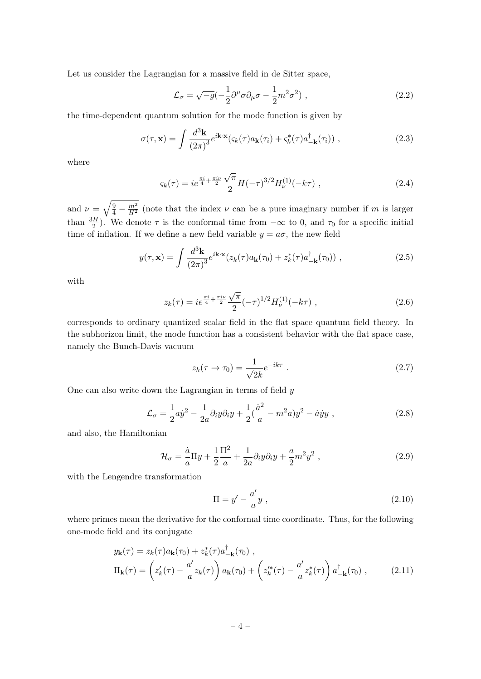Let us consider the Lagrangian for a massive field in de Sitter space,

$$
\mathcal{L}_{\sigma} = \sqrt{-g} \left( -\frac{1}{2} \partial^{\mu} \sigma \partial_{\mu} \sigma - \frac{1}{2} m^{2} \sigma^{2} \right) , \qquad (2.2)
$$

the time-dependent quantum solution for the mode function is given by

$$
\sigma(\tau, \mathbf{x}) = \int \frac{d^3 \mathbf{k}}{(2\pi)^3} e^{i\mathbf{k} \cdot \mathbf{x}} (\varsigma_k(\tau) a_{\mathbf{k}}(\tau_i) + \varsigma_k^*(\tau) a_{-\mathbf{k}}^\dagger(\tau_i)), \qquad (2.3)
$$

where

$$
\varsigma_k(\tau) = ie^{\frac{\pi i}{4} + \frac{\pi i \nu}{2}} \frac{\sqrt{\pi}}{2} H(-\tau)^{3/2} H_{\nu}^{(1)}(-k\tau) , \qquad (2.4)
$$

and  $\nu = \sqrt{\frac{9}{4} - \frac{m^2}{H^2}}$  (note that the index  $\nu$  can be a pure imaginary number if m is larger than  $\frac{3H}{2}$ ). We denote  $\tau$  is the conformal time from  $-\infty$  to 0, and  $\tau_0$  for a specific initial time of inflation. If we define a new field variable  $y = a\sigma$ , the new field

$$
y(\tau, \mathbf{x}) = \int \frac{d^3 \mathbf{k}}{(2\pi)^3} e^{i\mathbf{k} \cdot \mathbf{x}} (z_k(\tau) a_{\mathbf{k}}(\tau_0) + z_k^*(\tau) a_{-\mathbf{k}}^\dagger(\tau_0)) , \qquad (2.5)
$$

with

$$
z_k(\tau) = ie^{\frac{\pi i}{4} + \frac{\pi i \nu}{2}} \frac{\sqrt{\pi}}{2} (-\tau)^{1/2} H_{\nu}^{(1)}(-k\tau) , \qquad (2.6)
$$

corresponds to ordinary quantized scalar field in the flat space quantum field theory. In the subhorizon limit, the mode function has a consistent behavior with the flat space case, namely the Bunch-Davis vacuum

$$
z_k(\tau \to \tau_0) = \frac{1}{\sqrt{2k}} e^{-ik\tau} . \tag{2.7}
$$

One can also write down the Lagrangian in terms of field  $y$ 

$$
\mathcal{L}_{\sigma} = \frac{1}{2} a \dot{y}^2 - \frac{1}{2a} \partial_i y \partial_i y + \frac{1}{2} (\frac{\dot{a}^2}{a} - m^2 a) y^2 - \dot{a} \dot{y} y , \qquad (2.8)
$$

and also, the Hamiltonian

$$
\mathcal{H}_{\sigma} = \frac{\dot{a}}{a} \Pi y + \frac{1}{2} \frac{\Pi^2}{a} + \frac{1}{2a} \partial_i y \partial_i y + \frac{a}{2} m^2 y^2 , \qquad (2.9)
$$

with the Lengendre transformation

<span id="page-4-0"></span>
$$
\Pi = y' - \frac{a'}{a}y \tag{2.10}
$$

where primes mean the derivative for the conformal time coordinate. Thus, for the following one-mode field and its conjugate

$$
y_{\mathbf{k}}(\tau) = z_k(\tau) a_{\mathbf{k}}(\tau_0) + z_k^*(\tau) a_{-\mathbf{k}}^\dagger(\tau_0) ,
$$
  
\n
$$
\Pi_{\mathbf{k}}(\tau) = \left( z_k'(\tau) - \frac{a'}{a} z_k(\tau) \right) a_{\mathbf{k}}(\tau_0) + \left( z_k'^*(\tau) - \frac{a'}{a} z_k^*(\tau) \right) a_{-\mathbf{k}}^\dagger(\tau_0) ,
$$
\n(2.11)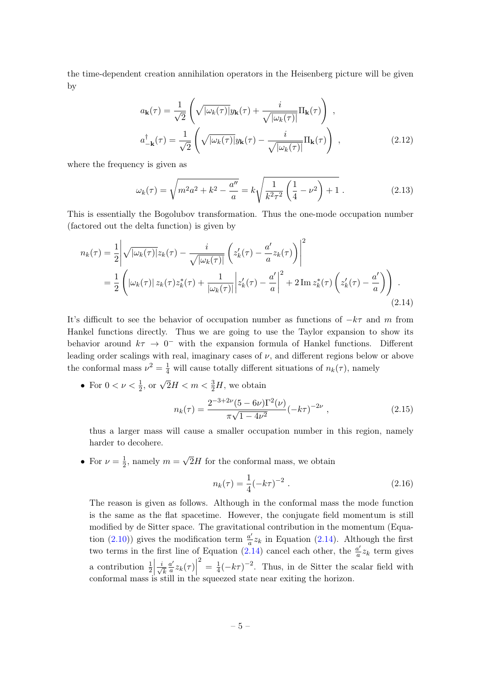the time-dependent creation annihilation operators in the Heisenberg picture will be given by

$$
a_{\mathbf{k}}(\tau) = \frac{1}{\sqrt{2}} \left( \sqrt{|\omega_k(\tau)|} y_{\mathbf{k}}(\tau) + \frac{i}{\sqrt{|\omega_k(\tau)|}} \Pi_{\mathbf{k}}(\tau) \right),
$$
  

$$
a_{-\mathbf{k}}^{\dagger}(\tau) = \frac{1}{\sqrt{2}} \left( \sqrt{|\omega_k(\tau)|} y_{\mathbf{k}}(\tau) - \frac{i}{\sqrt{|\omega_k(\tau)|}} \Pi_{\mathbf{k}}(\tau) \right),
$$
 (2.12)

where the frequency is given as

$$
\omega_k(\tau) = \sqrt{m^2 a^2 + k^2 - \frac{a''}{a}} = k \sqrt{\frac{1}{k^2 \tau^2} \left(\frac{1}{4} - \nu^2\right) + 1} \,. \tag{2.13}
$$

This is essentially the Bogolubov transformation. Thus the one-mode occupation number (factored out the delta function) is given by

$$
n_k(\tau) = \frac{1}{2} \left| \sqrt{|\omega_k(\tau)|} z_k(\tau) - \frac{i}{\sqrt{|\omega_k(\tau)|}} \left( z'_k(\tau) - \frac{a'}{a} z_k(\tau) \right) \right|^2
$$
  

$$
= \frac{1}{2} \left( |\omega_k(\tau)| z_k(\tau) z_k^*(\tau) + \frac{1}{|\omega_k(\tau)|} |z'_k(\tau) - \frac{a'}{a} |^2 + 2 \operatorname{Im} z_k^*(\tau) \left( z'_k(\tau) - \frac{a'}{a} \right) \right).
$$
\n(2.14)

It's difficult to see the behavior of occupation number as functions of  $-k\tau$  and m from Hankel functions directly. Thus we are going to use the Taylor expansion to show its behavior around  $k\tau \to 0^-$  with the expansion formula of Hankel functions. Different leading order scalings with real, imaginary cases of  $\nu$ , and different regions below or above the conformal mass  $\nu^2 = \frac{1}{4}$  will cause totally different situations of  $n_k(\tau)$ , namely

• For  $0 < \nu < \frac{1}{2}$ , or  $\sqrt{2}H < m < \frac{3}{2}H$ , we obtain

<span id="page-5-0"></span>
$$
n_k(\tau) = \frac{2^{-3+2\nu}(5-6\nu)\Gamma^2(\nu)}{\pi\sqrt{1-4\nu^2}}(-k\tau)^{-2\nu},
$$
\n(2.15)

thus a larger mass will cause a smaller occupation number in this region, namely harder to decohere.

• For  $\nu = \frac{1}{2}$  $\frac{1}{2}$ , namely  $m =$ √  $2H$  for the conformal mass, we obtain

$$
n_k(\tau) = \frac{1}{4} (-k\tau)^{-2} . \tag{2.16}
$$

The reason is given as follows. Although in the conformal mass the mode function is the same as the flat spacetime. However, the conjugate field momentum is still modified by de Sitter space. The gravitational contribution in the momentum (Equa-tion [\(2.10\)](#page-4-0)) gives the modification term  $\frac{a'}{a}$  $\frac{a'}{a}z_k$  in Equation [\(2.14\)](#page-5-0). Although the first two terms in the first line of Equation [\(2.14\)](#page-5-0) cancel each other, the  $\frac{a'}{a}$  $\frac{a'}{a}z_k$  term gives a contribution  $\frac{1}{2} \left| \frac{i}{\sqrt{2}} \right|$ k  $a'$  $\left. \frac{a'}{a} z_k(\tau) \right|$ <br>  $\left. \frac{a}{b} \right|$  $\frac{2}{4} = \frac{1}{4}$  $\frac{1}{4}(-k\tau)^{-2}$ . Thus, in de Sitter the scalar field with conformal mass is still in the squeezed state near exiting the horizon.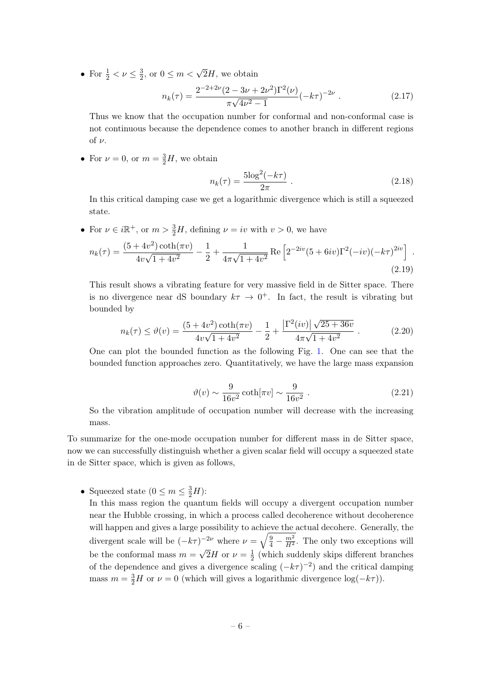• For  $\frac{1}{2} < \nu \leq \frac{3}{2}$  $\frac{3}{2}$ , or  $0 \leq m < \sqrt{2}H$ , we obtain

$$
n_k(\tau) = \frac{2^{-2+2\nu}(2 - 3\nu + 2\nu^2)\Gamma^2(\nu)}{\pi\sqrt{4\nu^2 - 1}} (-k\tau)^{-2\nu} . \tag{2.17}
$$

Thus we know that the occupation number for conformal and non-conformal case is not continuous because the dependence comes to another branch in different regions of  $\nu$ .

• For  $\nu = 0$ , or  $m = \frac{3}{2}H$ , we obtain

$$
n_k(\tau) = \frac{5 \log^2(-k\tau)}{2\pi} \ . \tag{2.18}
$$

In this critical damping case we get a logarithmic divergence which is still a squeezed state.

• For  $\nu \in i\mathbb{R}^+$ , or  $m > \frac{3}{2}H$ , defining  $\nu = iv$  with  $v > 0$ , we have

$$
n_k(\tau) = \frac{(5+4v^2)\coth(\pi v)}{4v\sqrt{1+4v^2}} - \frac{1}{2} + \frac{1}{4\pi\sqrt{1+4v^2}} \operatorname{Re}\left[2^{-2iv}(5+6iv)\Gamma^2(-iv)(-k\tau)^{2iv}\right].
$$
\n(2.19)

This result shows a vibrating feature for very massive field in de Sitter space. There is no divergence near dS boundary  $k\tau \to 0^+$ . In fact, the result is vibrating but bounded by

$$
n_k(\tau) \le \vartheta(v) = \frac{(5+4v^2)\coth(\pi v)}{4v\sqrt{1+4v^2}} - \frac{1}{2} + \frac{\left|\Gamma^2(iv)\right|\sqrt{25+36v}}{4\pi\sqrt{1+4v^2}}.
$$
 (2.20)

One can plot the bounded function as the following Fig. [1.](#page-7-2) One can see that the bounded function approaches zero. Quantitatively, we have the large mass expansion

$$
\vartheta(v) \sim \frac{9}{16v^2} \coth[\pi v] \sim \frac{9}{16v^2} . \tag{2.21}
$$

So the vibration amplitude of occupation number will decrease with the increasing mass.

To summarize for the one-mode occupation number for different mass in de Sitter space, now we can successfully distinguish whether a given scalar field will occupy a squeezed state in de Sitter space, which is given as follows,

• Squeezed state  $(0 \le m \le \frac{3}{2}H)$ :

In this mass region the quantum fields will occupy a divergent occupation number near the Hubble crossing, in which a process called decoherence without decoherence will happen and gives a large possibility to achieve the actual decohere. Generally, the divergent scale will be  $(-k\tau)^{-2\nu}$  where  $\nu = \sqrt{\frac{9}{4} - \frac{m^2}{H^2}}$ . The only two exceptions will be the conformal mass  $m = \sqrt{2}H$  or  $\nu = \frac{1}{2}$  $\frac{1}{2}$  (which suddenly skips different branches of the dependence and gives a divergence scaling  $(-k\tau)^{-2}$  and the critical damping mass  $m = \frac{3}{2}H$  or  $\nu = 0$  (which will gives a logarithmic divergence  $\log(-k\tau)$ ).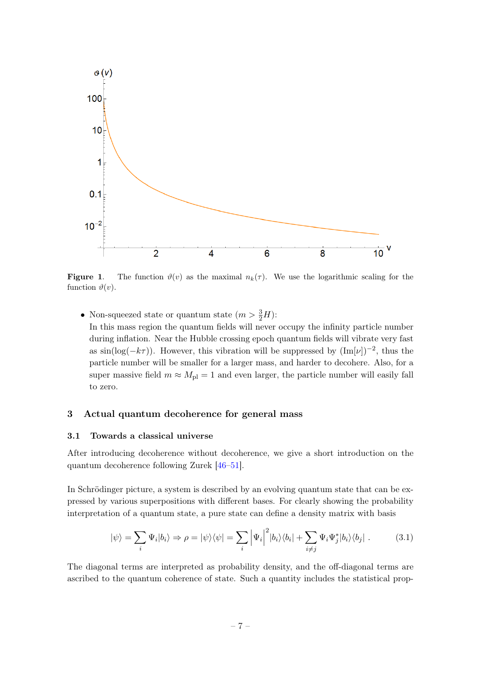

<span id="page-7-2"></span>**Figure 1.** The function  $\vartheta(v)$  as the maximal  $n_k(\tau)$ . We use the logarithmic scaling for the function  $\vartheta(v)$ .

• Non-squeezed state or quantum state  $(m > \frac{3}{2}H)$ : In this mass region the quantum fields will never occupy the infinity particle number during inflation. Near the Hubble crossing epoch quantum fields will vibrate very fast as  $\sin(\log(-k\tau))$ . However, this vibration will be suppressed by  $(\text{Im}[\nu])^{-2}$ , thus the particle number will be smaller for a larger mass, and harder to decohere. Also, for a super massive field  $m \approx M_{\text{pl}} = 1$  and even larger, the particle number will easily fall to zero.

### <span id="page-7-0"></span>3 Actual quantum decoherence for general mass

#### <span id="page-7-1"></span>3.1 Towards a classical universe

After introducing decoherence without decoherence, we give a short introduction on the quantum decoherence following Zurek [\[46–](#page-25-8)[51\]](#page-25-9).

In Schrödinger picture, a system is described by an evolving quantum state that can be expressed by various superpositions with different bases. For clearly showing the probability interpretation of a quantum state, a pure state can define a density matrix with basis

<span id="page-7-3"></span>
$$
|\psi\rangle = \sum_{i} \Psi_{i} |b_{i}\rangle \Rightarrow \rho = |\psi\rangle\langle\psi| = \sum_{i} \left| \Psi_{i} \right|^{2} |b_{i}\rangle\langle b_{i}| + \sum_{i \neq j} \Psi_{i} \Psi_{j}^{*} |b_{i}\rangle\langle b_{j}|.
$$
 (3.1)

The diagonal terms are interpreted as probability density, and the off-diagonal terms are ascribed to the quantum coherence of state. Such a quantity includes the statistical prop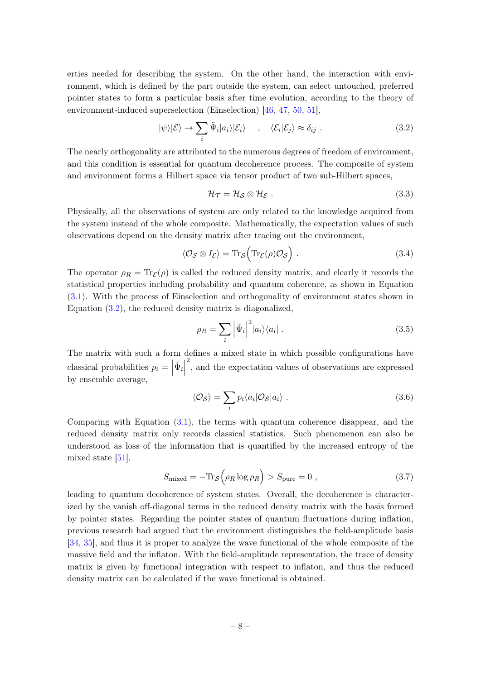erties needed for describing the system. On the other hand, the interaction with environment, which is defined by the part outside the system, can select untouched, preferred pointer states to form a particular basis after time evolution, according to the theory of environment-induced superselection (Einselection) [\[46,](#page-25-8) [47,](#page-25-17) [50,](#page-25-18) [51\]](#page-25-9),

$$
|\psi\rangle|\mathcal{E}\rangle \to \sum_{i} \tilde{\Psi}_{i}|a_{i}\rangle|\mathcal{E}_{i}\rangle \quad , \quad \langle \mathcal{E}_{i}|\mathcal{E}_{j}\rangle \approx \delta_{ij} . \tag{3.2}
$$

The nearly orthogonality are attributed to the numerous degrees of freedom of environment, and this condition is essential for quantum decoherence process. The composite of system and environment forms a Hilbert space via tensor product of two sub-Hilbert spaces,

<span id="page-8-0"></span>
$$
\mathcal{H}_{\mathcal{T}} = \mathcal{H}_{\mathcal{S}} \otimes \mathcal{H}_{\mathcal{E}} . \tag{3.3}
$$

Physically, all the observations of system are only related to the knowledge acquired from the system instead of the whole composite. Mathematically, the expectation values of such observations depend on the density matrix after tracing out the environment,

$$
\langle \mathcal{O}_{\mathcal{S}} \otimes I_{\mathcal{E}} \rangle = \text{Tr}_{\mathcal{S}} \Big( \text{Tr}_{\mathcal{E}}(\rho) \mathcal{O}_{\mathcal{S}} \Big) . \tag{3.4}
$$

The operator  $\rho_R = \text{Tr}_{\mathcal{E}}(\rho)$  is called the reduced density matrix, and clearly it records the statistical properties including probability and quantum coherence, as shown in Equation [\(3.1\)](#page-7-3). With the process of Einselection and orthogonality of environment states shown in Equation [\(3.2\)](#page-8-0), the reduced density matrix is diagonalized,

$$
\rho_R = \sum_i \left| \tilde{\Psi}_i \right|^2 |a_i\rangle\langle a_i| \tag{3.5}
$$

The matrix with such a form defines a mixed state in which possible configurations have classical probabilities  $p_i =$  $\tilde{\Psi}_i$ 2 , and the expectation values of observations are expressed by ensemble average,

$$
\langle \mathcal{O}_{\mathcal{S}} \rangle = \sum_{i} p_i \langle a_i | \mathcal{O}_{\mathcal{S}} | a_i \rangle . \tag{3.6}
$$

Comparing with Equation [\(3.1\)](#page-7-3), the terms with quantum coherence disappear, and the reduced density matrix only records classical statistics. Such phenomenon can also be understood as loss of the information that is quantified by the increased entropy of the mixed state [\[51\]](#page-25-9),

$$
S_{\text{mixed}} = -\text{Tr}_{\mathcal{S}}\left(\rho_R \log \rho_R\right) > S_{\text{pure}} = 0 \tag{3.7}
$$

leading to quantum decoherence of system states. Overall, the decoherence is characterized by the vanish off-diagonal terms in the reduced density matrix with the basis formed by pointer states. Regarding the pointer states of quantum fluctuations during inflation, previous research had argued that the environment distinguishes the field-amplitude basis [\[34,](#page-24-13) [35\]](#page-24-14), and thus it is proper to analyze the wave functional of the whole composite of the massive field and the inflaton. With the field-amplitude representation, the trace of density matrix is given by functional integration with respect to inflaton, and thus the reduced density matrix can be calculated if the wave functional is obtained.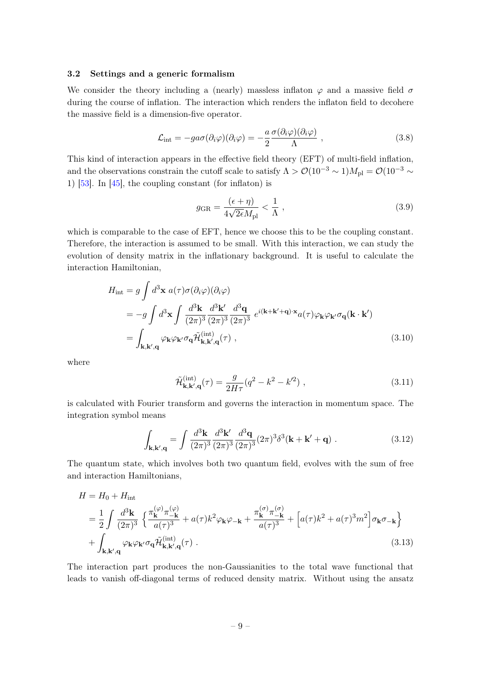## <span id="page-9-0"></span>3.2 Settings and a generic formalism

We consider the theory including a (nearly) massless inflaton  $\varphi$  and a massive field  $\sigma$ during the course of inflation. The interaction which renders the inflaton field to decohere the massive field is a dimension-five operator.

$$
\mathcal{L}_{\text{int}} = -g a \sigma (\partial_i \varphi) (\partial_i \varphi) = -\frac{a}{2} \frac{\sigma (\partial_i \varphi) (\partial_i \varphi)}{\Lambda} , \qquad (3.8)
$$

This kind of interaction appears in the effective field theory (EFT) of multi-field inflation, and the observations constrain the cutoff scale to satisfy  $\Lambda > \mathcal{O}(10^{-3} \sim 1)M_{\rm pl} = \mathcal{O}(10^{-3} \sim 1)$ 1)  $[53]$ . In  $[45]$ , the coupling constant (for inflaton) is

$$
g_{\rm GR} = \frac{(\epsilon + \eta)}{4\sqrt{2\epsilon}M_{\rm pl}} < \frac{1}{\Lambda},\qquad(3.9)
$$

which is comparable to the case of EFT, hence we choose this to be the coupling constant. Therefore, the interaction is assumed to be small. With this interaction, we can study the evolution of density matrix in the inflationary background. It is useful to calculate the interaction Hamiltonian,

$$
H_{int} = g \int d^3 \mathbf{x} \ a(\tau) \sigma(\partial_i \varphi)(\partial_i \varphi)
$$
  
\n
$$
= -g \int d^3 \mathbf{x} \int \frac{d^3 \mathbf{k}}{(2\pi)^3} \frac{d^3 \mathbf{k}'}{(2\pi)^3} \frac{d^3 \mathbf{q}}{(2\pi)^3} e^{i(\mathbf{k} + \mathbf{k}' + \mathbf{q}) \cdot \mathbf{x}} a(\tau) \varphi_{\mathbf{k}} \varphi_{\mathbf{k}'} \sigma_{\mathbf{q}}(\mathbf{k} \cdot \mathbf{k}')
$$
  
\n
$$
= \int_{\mathbf{k}, \mathbf{k}', \mathbf{q}} \varphi_{\mathbf{k}} \varphi_{\mathbf{k}'} \sigma_{\mathbf{q}} \tilde{\mathcal{H}}_{\mathbf{k}, \mathbf{k}', \mathbf{q}}^{int}(\tau) ,
$$
\n(3.10)

where

$$
\tilde{\mathcal{H}}_{\mathbf{k},\mathbf{k}',\mathbf{q}}^{(\mathrm{int})}(\tau) = \frac{g}{2H\tau} (q^2 - k^2 - k'^2) ,\qquad (3.11)
$$

is calculated with Fourier transform and governs the interaction in momentum space. The integration symbol means

<span id="page-9-1"></span>
$$
\int_{\mathbf{k},\mathbf{k}',\mathbf{q}} = \int \frac{d^3\mathbf{k}}{(2\pi)^3} \frac{d^3\mathbf{k}'}{(2\pi)^3} \frac{d^3\mathbf{q}}{(2\pi)^3} (2\pi)^3 \delta^3(\mathbf{k} + \mathbf{k}' + \mathbf{q}) . \tag{3.12}
$$

The quantum state, which involves both two quantum field, evolves with the sum of free and interaction Hamiltonians,

$$
H = H_0 + H_{int}
$$
  
=  $\frac{1}{2} \int \frac{d^3 \mathbf{k}}{(2\pi)^3} \left\{ \frac{\pi_{\mathbf{k}}^{(\varphi)} \pi_{-\mathbf{k}}^{(\varphi)}}{a(\tau)^3} + a(\tau) k^2 \varphi_{\mathbf{k}} \varphi_{-\mathbf{k}} + \frac{\pi_{\mathbf{k}}^{(\sigma)} \pi_{-\mathbf{k}}^{(\sigma)}}{a(\tau)^3} + \left[ a(\tau) k^2 + a(\tau)^3 m^2 \right] \sigma_{\mathbf{k}} \sigma_{-\mathbf{k}} \right\}$   
+  $\int_{\mathbf{k}, \mathbf{k}', \mathbf{q}} \varphi_{\mathbf{k}} \varphi_{\mathbf{k}'} \sigma_{\mathbf{q}} \tilde{\mathcal{H}}_{\mathbf{k}, \mathbf{k}', \mathbf{q}}^{(int)}(\tau) .$  (3.13)

The interaction part produces the non-Gaussianities to the total wave functional that leads to vanish off-diagonal terms of reduced density matrix. Without using the ansatz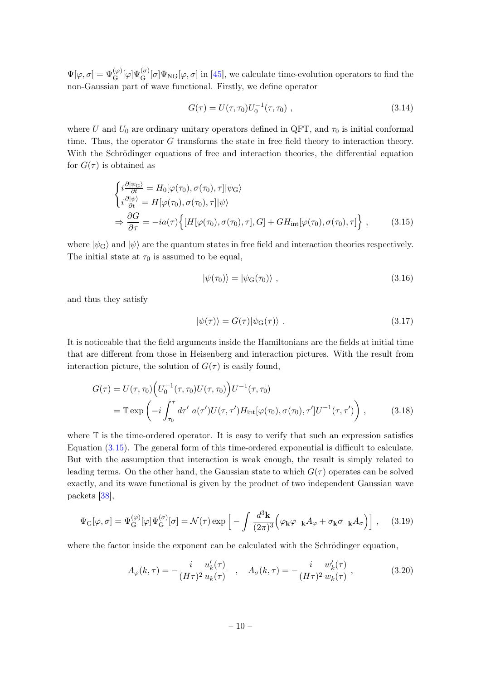$\Psi[\varphi,\sigma] = \Psi_{\mathbf{G}}^{(\varphi)}[\varphi]\Psi_{\mathbf{G}}^{(\sigma)}[\sigma]\Psi_{\mathbf{NG}}[\varphi,\sigma]$  in [\[45\]](#page-25-7), we calculate time-evolution operators to find the non-Gaussian part of wave functional. Firstly, we define operator

$$
G(\tau) = U(\tau, \tau_0)U_0^{-1}(\tau, \tau_0) , \qquad (3.14)
$$

where U and  $U_0$  are ordinary unitary operators defined in QFT, and  $\tau_0$  is initial conformal time. Thus, the operator G transforms the state in free field theory to interaction theory. With the Schrödinger equations of free and interaction theories, the differential equation for  $G(\tau)$  is obtained as

$$
\begin{cases}\ni \frac{\partial |\psi_{\rm G}\rangle}{\partial t} = H_0[\varphi(\tau_0), \sigma(\tau_0), \tau] |\psi_{\rm G}\rangle \\
i \frac{\partial |\psi\rangle}{\partial t} = H[\varphi(\tau_0), \sigma(\tau_0), \tau] |\psi\rangle \\
\Rightarrow \frac{\partial G}{\partial \tau} = -ia(\tau) \Big\{ [H[\varphi(\tau_0), \sigma(\tau_0), \tau], G] + GH_{\rm int}[\varphi(\tau_0), \sigma(\tau_0), \tau] \Big\} ,\n\end{cases} (3.15)
$$

where  $|\psi_{\rm G}\rangle$  and  $|\psi\rangle$  are the quantum states in free field and interaction theories respectively. The initial state at  $\tau_0$  is assumed to be equal,

<span id="page-10-0"></span>
$$
|\psi(\tau_0)\rangle = |\psi_{\rm G}(\tau_0)\rangle \tag{3.16}
$$

and thus they satisfy

<span id="page-10-1"></span>
$$
|\psi(\tau)\rangle = G(\tau)|\psi_G(\tau)\rangle . \tag{3.17}
$$

It is noticeable that the field arguments inside the Hamiltonians are the fields at initial time that are different from those in Heisenberg and interaction pictures. With the result from interaction picture, the solution of  $G(\tau)$  is easily found,

$$
G(\tau) = U(\tau, \tau_0) \Big( U_0^{-1}(\tau, \tau_0) U(\tau, \tau_0) \Big) U^{-1}(\tau, \tau_0)
$$
  
=  $\mathbb{T} \exp \Big( -i \int_{\tau_0}^{\tau} d\tau' \ a(\tau') U(\tau, \tau') H_{\rm int}[\varphi(\tau_0), \sigma(\tau_0), \tau'] U^{-1}(\tau, \tau') \Big) ,$  (3.18)

where  $\mathbb T$  is the time-ordered operator. It is easy to verify that such an expression satisfies Equation [\(3.15\)](#page-10-0). The general form of this time-ordered exponential is difficult to calculate. But with the assumption that interaction is weak enough, the result is simply related to leading terms. On the other hand, the Gaussian state to which  $G(\tau)$  operates can be solved exactly, and its wave functional is given by the product of two independent Gaussian wave packets [\[38\]](#page-25-2),

$$
\Psi_{\mathcal{G}}[\varphi,\sigma] = \Psi_{\mathcal{G}}^{(\varphi)}[\varphi]\Psi_{\mathcal{G}}^{(\sigma)}[\sigma] = \mathcal{N}(\tau)\exp\left[-\int \frac{d^3\mathbf{k}}{(2\pi)^3} \Big(\varphi_{\mathbf{k}}\varphi_{-\mathbf{k}}A_{\varphi} + \sigma_{\mathbf{k}}\sigma_{-\mathbf{k}}A_{\sigma}\Big)\right],\tag{3.19}
$$

where the factor inside the exponent can be calculated with the Schrödinger equation,

$$
A_{\varphi}(k,\tau) = -\frac{i}{(H\tau)^2} \frac{u'_k(\tau)}{u_k(\tau)} , \quad A_{\sigma}(k,\tau) = -\frac{i}{(H\tau)^2} \frac{w'_k(\tau)}{w_k(\tau)} ,
$$
 (3.20)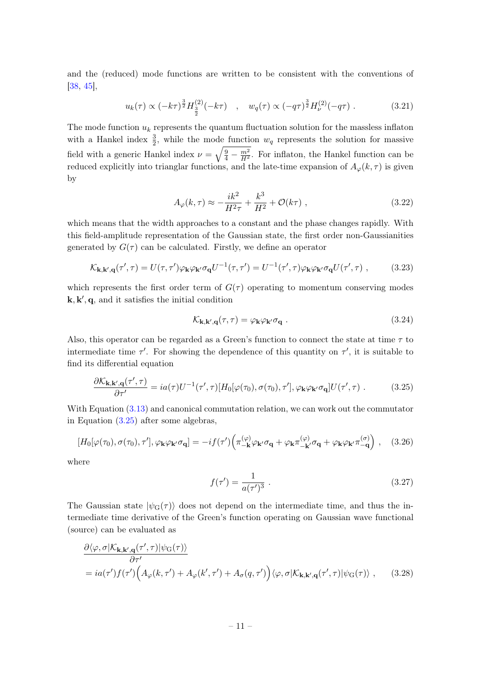and the (reduced) mode functions are written to be consistent with the conventions of [\[38,](#page-25-2) [45\]](#page-25-7),

$$
u_k(\tau) \propto (-k\tau)^{\frac{3}{2}} H_{\frac{3}{2}}^{(2)}(-k\tau) \quad , \quad w_q(\tau) \propto (-q\tau)^{\frac{3}{2}} H_{\nu}^{(2)}(-q\tau) \; . \tag{3.21}
$$

The mode function  $u_k$  represents the quantum fluctuation solution for the massless inflaton with a Hankel index  $\frac{3}{2}$ , while the mode function  $w_q$  represents the solution for massive field with a generic Hankel index  $\nu = \sqrt{\frac{9}{4} - \frac{m^2}{H^2}}$ . For inflaton, the Hankel function can be reduced explicitly into trianglar functions, and the late-time expansion of  $A_{\varphi}(k, \tau)$  is given by

$$
A_{\varphi}(k,\tau) \approx -\frac{ik^2}{H^2\tau} + \frac{k^3}{H^2} + \mathcal{O}(k\tau) ,
$$
 (3.22)

which means that the width approaches to a constant and the phase changes rapidly. With this field-amplitude representation of the Gaussian state, the first order non-Gaussianities generated by  $G(\tau)$  can be calculated. Firstly, we define an operator

$$
\mathcal{K}_{\mathbf{k},\mathbf{k}',\mathbf{q}}(\tau',\tau) = U(\tau,\tau')\varphi_{\mathbf{k}}\varphi_{\mathbf{k}'}\sigma_{\mathbf{q}}U^{-1}(\tau,\tau') = U^{-1}(\tau',\tau)\varphi_{\mathbf{k}}\varphi_{\mathbf{k}'}\sigma_{\mathbf{q}}U(\tau',\tau) ,\qquad(3.23)
$$

which represents the first order term of  $G(\tau)$  operating to momentum conserving modes  $\mathbf{k}, \mathbf{k}', \mathbf{q}$ , and it satisfies the initial condition

$$
\mathcal{K}_{\mathbf{k},\mathbf{k}',\mathbf{q}}(\tau,\tau) = \varphi_{\mathbf{k}}\varphi_{\mathbf{k}'}\sigma_{\mathbf{q}}\ .
$$
 (3.24)

Also, this operator can be regarded as a Green's function to connect the state at time  $\tau$  to intermediate time  $\tau'$ . For showing the dependence of this quantity on  $\tau'$ , it is suitable to find its differential equation

$$
\frac{\partial \mathcal{K}_{\mathbf{k},\mathbf{k}',\mathbf{q}}(\tau',\tau)}{\partial \tau'} = ia(\tau)U^{-1}(\tau',\tau)[H_0[\varphi(\tau_0),\sigma(\tau_0),\tau'],\varphi_{\mathbf{k}}\varphi_{\mathbf{k}'}\sigma_{\mathbf{q}}]U(\tau',\tau) . \tag{3.25}
$$

With Equation [\(3.13\)](#page-9-1) and canonical commutation relation, we can work out the commutator in Equation [\(3.25\)](#page-11-0) after some algebras,

$$
[H_0[\varphi(\tau_0), \sigma(\tau_0), \tau'], \varphi_{\mathbf{k}}\varphi_{\mathbf{k}'}\sigma_{\mathbf{q}}] = -if(\tau') \left( \pi_{-\mathbf{k}}^{(\varphi)}\varphi_{\mathbf{k}'}\sigma_{\mathbf{q}} + \varphi_{\mathbf{k}}\pi_{-\mathbf{k}'}^{(\varphi)}\sigma_{\mathbf{q}} + \varphi_{\mathbf{k}}\varphi_{\mathbf{k}'}\pi_{-\mathbf{q}}^{(\sigma)} \right) , \quad (3.26)
$$

where

<span id="page-11-0"></span>
$$
f(\tau') = \frac{1}{a(\tau')^3} \ . \tag{3.27}
$$

The Gaussian state  $|\psi_{\rm G}(\tau)\rangle$  does not depend on the intermediate time, and thus the intermediate time derivative of the Green's function operating on Gaussian wave functional (source) can be evaluated as

$$
\frac{\partial \langle \varphi, \sigma | \mathcal{K}_{\mathbf{k},\mathbf{k}',\mathbf{q}}(\tau',\tau) | \psi_{\mathbf{G}}(\tau) \rangle}{\partial \tau'}
$$
\n
$$
= ia(\tau')f(\tau') \Big( A_{\varphi}(k,\tau') + A_{\varphi}(k',\tau') + A_{\sigma}(q,\tau') \Big) \langle \varphi, \sigma | \mathcal{K}_{\mathbf{k},\mathbf{k}',\mathbf{q}}(\tau',\tau) | \psi_{\mathbf{G}}(\tau) \rangle , \qquad (3.28)
$$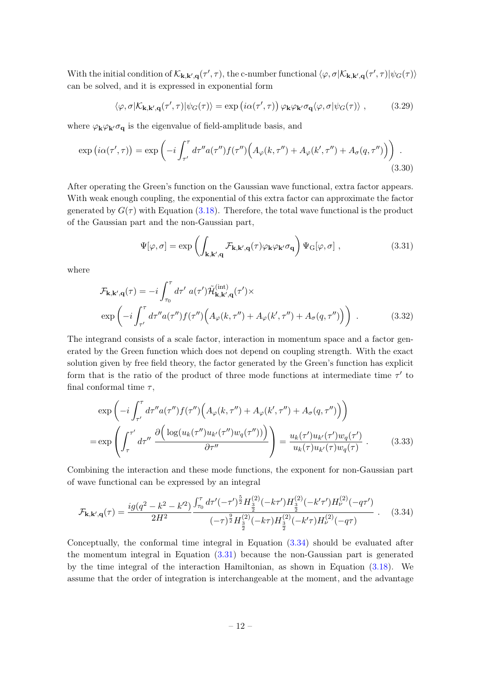With the initial condition of  $\mathcal{K}_{\mathbf{k},\mathbf{k}',\mathbf{q}}(\tau',\tau)$ , the c-number functional  $\langle \varphi, \sigma | \mathcal{K}_{\mathbf{k},\mathbf{k}',\mathbf{q}}(\tau',\tau) | \psi_G(\tau) \rangle$ can be solved, and it is expressed in exponential form

<span id="page-12-2"></span>
$$
\langle \varphi, \sigma | \mathcal{K}_{\mathbf{k}, \mathbf{k}', \mathbf{q}}(\tau', \tau) | \psi_G(\tau) \rangle = \exp(i\alpha(\tau', \tau)) \, \varphi_{\mathbf{k}} \varphi_{\mathbf{k}'} \sigma_{\mathbf{q}} \langle \varphi, \sigma | \psi_G(\tau) \rangle \;, \tag{3.29}
$$

where  $\varphi_{\mathbf{k}}\varphi_{\mathbf{k}'}\sigma_{\mathbf{q}}$  is the eigenvalue of field-amplitude basis, and

$$
\exp(i\alpha(\tau',\tau)) = \exp\left(-i\int_{\tau'}^{\tau} d\tau'' a(\tau'') f(\tau'') \Big(A_{\varphi}(k,\tau'') + A_{\varphi}(k',\tau'') + A_{\sigma}(q,\tau'')\Big)\right). \tag{3.30}
$$

After operating the Green's function on the Gaussian wave functional, extra factor appears. With weak enough coupling, the exponential of this extra factor can approximate the factor generated by  $G(\tau)$  with Equation [\(3.18\)](#page-10-1). Therefore, the total wave functional is the product of the Gaussian part and the non-Gaussian part,

<span id="page-12-1"></span>
$$
\Psi[\varphi,\sigma] = \exp\left(\int_{\mathbf{k},\mathbf{k}',\mathbf{q}} \mathcal{F}_{\mathbf{k},\mathbf{k}',\mathbf{q}}(\tau) \varphi_{\mathbf{k}} \varphi_{\mathbf{k}'} \sigma_{\mathbf{q}}\right) \Psi_{\mathbf{G}}[\varphi,\sigma] ,\qquad (3.31)
$$

where

$$
\mathcal{F}_{\mathbf{k},\mathbf{k}',\mathbf{q}}(\tau) = -i \int_{\tau_0}^{\tau} d\tau' \ a(\tau') \tilde{\mathcal{H}}_{\mathbf{k},\mathbf{k}',\mathbf{q}}^{(\text{int})}(\tau') \times
$$
  
\n
$$
\exp\left(-i \int_{\tau'}^{\tau} d\tau'' a(\tau'') f(\tau'') \Big( A_{\varphi}(k,\tau'') + A_{\varphi}(k',\tau'') + A_{\sigma}(q,\tau'') \Big) \right) . \tag{3.32}
$$

The integrand consists of a scale factor, interaction in momentum space and a factor generated by the Green function which does not depend on coupling strength. With the exact solution given by free field theory, the factor generated by the Green's function has explicit form that is the ratio of the product of three mode functions at intermediate time  $\tau'$  to final conformal time  $\tau$ ,

$$
\exp\left(-i\int_{\tau'}^{\tau} d\tau'' a(\tau'') f(\tau'') \left(A_{\varphi}(k, \tau'') + A_{\varphi}(k', \tau'') + A_{\sigma}(q, \tau'')\right)\right)
$$

$$
= \exp\left(\int_{\tau}^{\tau'} d\tau'' \frac{\partial\left(\log(u_k(\tau'')u_{k'}(\tau'')w_q(\tau''))\right)}{\partial \tau''}\right) = \frac{u_k(\tau')u_{k'}(\tau')w_q(\tau')}{u_k(\tau)u_{k'}(\tau)w_q(\tau)}.
$$
(3.33)

Combining the interaction and these mode functions, the exponent for non-Gaussian part of wave functional can be expressed by an integral

<span id="page-12-0"></span>
$$
\mathcal{F}_{\mathbf{k},\mathbf{k}',\mathbf{q}}(\tau) = \frac{ig(q^2 - k^2 - k'^2)}{2H^2} \frac{\int_{\tau_0}^{\tau} d\tau'(-\tau')^{\frac{5}{2}} H_{\frac{3}{2}}^{(2)}(-k\tau') H_{\frac{3}{2}}^{(2)}(-k'\tau') H_{\nu}^{(2)}(-q\tau')}{(-\tau)^{\frac{9}{2}} H_{\frac{3}{2}}^{(2)}(-k\tau) H_{\frac{3}{2}}^{(2)}(-k'\tau) H_{\nu}^{(2)}(-q\tau)} \tag{3.34}
$$

Conceptually, the conformal time integral in Equation [\(3.34\)](#page-12-0) should be evaluated after the momentum integral in Equation [\(3.31\)](#page-12-1) because the non-Gaussian part is generated by the time integral of the interaction Hamiltonian, as shown in Equation [\(3.18\)](#page-10-1). We assume that the order of integration is interchangeable at the moment, and the advantage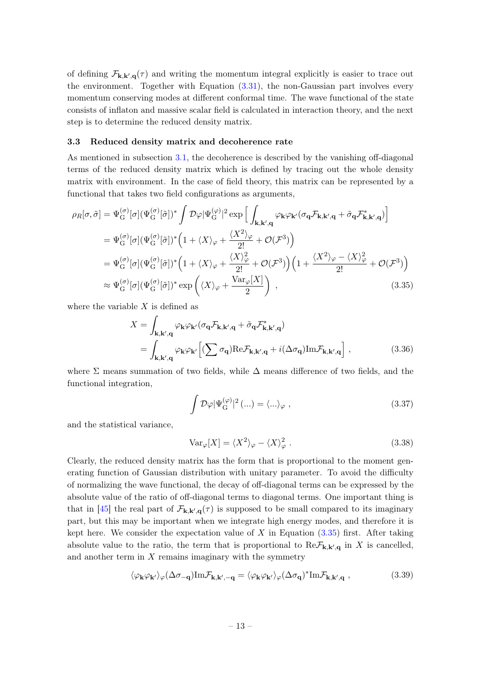of defining  $\mathcal{F}_{k,k',q}(\tau)$  and writing the momentum integral explicitly is easier to trace out the environment. Together with Equation [\(3.31\)](#page-12-1), the non-Gaussian part involves every momentum conserving modes at different conformal time. The wave functional of the state consists of inflaton and massive scalar field is calculated in interaction theory, and the next step is to determine the reduced density matrix.

#### <span id="page-13-0"></span>3.3 Reduced density matrix and decoherence rate

As mentioned in subsection [3.1,](#page-7-1) the decoherence is described by the vanishing off-diagonal terms of the reduced density matrix which is defined by tracing out the whole density matrix with environment. In the case of field theory, this matrix can be represented by a functional that takes two field configurations as arguments,

$$
\rho_R[\sigma,\tilde{\sigma}] = \Psi_{G}^{(\sigma)}[\sigma](\Psi_{G}^{(\sigma)}[\tilde{\sigma}])^* \int \mathcal{D}\varphi |\Psi_{G}^{(\varphi)}|^2 \exp\left[\int_{\mathbf{k},\mathbf{k}',\mathbf{q}} \varphi_{\mathbf{k}} \varphi_{\mathbf{k}'} (\sigma_{\mathbf{q}} \mathcal{F}_{\mathbf{k},\mathbf{k}',\mathbf{q}} + \tilde{\sigma}_{\mathbf{q}} \mathcal{F}_{\mathbf{k},\mathbf{k}',\mathbf{q}}^*\right]
$$
  
\n
$$
= \Psi_{G}^{(\sigma)}[\sigma](\Psi_{G}^{(\sigma)}[\tilde{\sigma}])^* \left(1 + \langle X \rangle_{\varphi} + \frac{\langle X^2 \rangle_{\varphi}}{2!} + \mathcal{O}(\mathcal{F}^3)\right)
$$
  
\n
$$
= \Psi_{G}^{(\sigma)}[\sigma](\Psi_{G}^{(\sigma)}[\tilde{\sigma}])^* \left(1 + \langle X \rangle_{\varphi} + \frac{\langle X \rangle_{\varphi}^2}{2!} + \mathcal{O}(\mathcal{F}^3)\right) \left(1 + \frac{\langle X^2 \rangle_{\varphi} - \langle X \rangle_{\varphi}^2}{2!} + \mathcal{O}(\mathcal{F}^3)\right)
$$
  
\n
$$
\approx \Psi_{G}^{(\sigma)}[\sigma](\Psi_{G}^{(\sigma)}[\tilde{\sigma}])^* \exp\left(\langle X \rangle_{\varphi} + \frac{\text{Var}_{\varphi}[X]}{2}\right) , \tag{3.35}
$$

where the variable  $X$  is defined as

$$
X = \int_{\mathbf{k}, \mathbf{k}', \mathbf{q}} \varphi_{\mathbf{k}} \varphi_{\mathbf{k}'} (\sigma_{\mathbf{q}} \mathcal{F}_{\mathbf{k}, \mathbf{k}', \mathbf{q}} + \tilde{\sigma}_{\mathbf{q}} \mathcal{F}_{\mathbf{k}, \mathbf{k}', \mathbf{q}}^{*})
$$
  
= 
$$
\int_{\mathbf{k}, \mathbf{k}', \mathbf{q}} \varphi_{\mathbf{k}} \varphi_{\mathbf{k}'} \left[ (\sum \sigma_{\mathbf{q}}) \text{Re} \mathcal{F}_{\mathbf{k}, \mathbf{k}', \mathbf{q}} + i (\Delta \sigma_{\mathbf{q}}) \text{Im} \mathcal{F}_{\mathbf{k}, \mathbf{k}', \mathbf{q}} \right],
$$
(3.36)

where  $\Sigma$  means summation of two fields, while  $\Delta$  means difference of two fields, and the functional integration,

<span id="page-13-1"></span>
$$
\int \mathcal{D}\varphi |\Psi_{\mathcal{G}}^{(\varphi)}|^2 (\ldots) = \langle \ldots \rangle_{\varphi} , \qquad (3.37)
$$

and the statistical variance,

$$
\text{Var}_{\varphi}[X] = \langle X^2 \rangle_{\varphi} - \langle X \rangle_{\varphi}^2. \tag{3.38}
$$

Clearly, the reduced density matrix has the form that is proportional to the moment generating function of Gaussian distribution with unitary parameter. To avoid the difficulty of normalizing the wave functional, the decay of off-diagonal terms can be expressed by the absolute value of the ratio of off-diagonal terms to diagonal terms. One important thing is that in [\[45\]](#page-25-7) the real part of  $\mathcal{F}_{k,k',q}(\tau)$  is supposed to be small compared to its imaginary part, but this may be important when we integrate high energy modes, and therefore it is kept here. We consider the expectation value of  $X$  in Equation  $(3.35)$  first. After taking absolute value to the ratio, the term that is proportional to  $\text{Re}\mathcal{F}_{k,k',q}$  in X is cancelled, and another term in  $X$  remains imaginary with the symmetry

$$
\langle \varphi_{\mathbf{k}} \varphi_{\mathbf{k'}} \rangle_{\varphi} (\Delta \sigma_{-\mathbf{q}}) Im \mathcal{F}_{\mathbf{k}, \mathbf{k'}, -\mathbf{q}} = \langle \varphi_{\mathbf{k}} \varphi_{\mathbf{k'}} \rangle_{\varphi} (\Delta \sigma_{\mathbf{q}})^* Im \mathcal{F}_{\mathbf{k}, \mathbf{k'}, \mathbf{q}} ,
$$
 (3.39)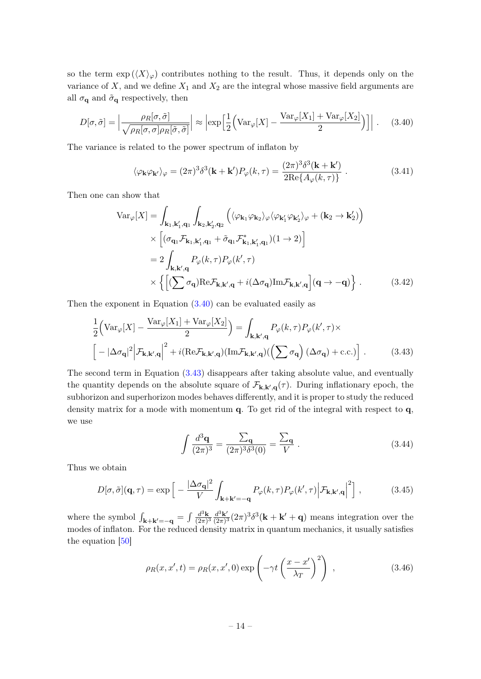so the term  $\exp(\langle X\rangle_{\varphi})$  contributes nothing to the result. Thus, it depends only on the variance of  $X$ , and we define  $X_1$  and  $X_2$  are the integral whose massive field arguments are all  $\sigma_{\mathbf{q}}$  and  $\tilde{\sigma}_{\mathbf{q}}$  respectively, then

$$
D[\sigma, \tilde{\sigma}] = \left| \frac{\rho_R[\sigma, \tilde{\sigma}]}{\sqrt{\rho_R[\sigma, \sigma] \rho_R[\tilde{\sigma}, \tilde{\sigma}]}} \right| \approx \left| \exp \left[ \frac{1}{2} \left( \text{Var}_{\varphi}[X] - \frac{\text{Var}_{\varphi}[X_1] + \text{Var}_{\varphi}[X_2]}{2} \right) \right] \right|.
$$
 (3.40)

The variance is related to the power spectrum of inflaton by

<span id="page-14-0"></span>
$$
\langle \varphi_{\mathbf{k}} \varphi_{\mathbf{k'}} \rangle_{\varphi} = (2\pi)^3 \delta^3(\mathbf{k} + \mathbf{k'}) P_{\varphi}(k, \tau) = \frac{(2\pi)^3 \delta^3(\mathbf{k} + \mathbf{k'})}{2 \text{Re}\{A_{\varphi}(k, \tau)\}} . \tag{3.41}
$$

Then one can show that

$$
\operatorname{Var}_{\varphi}[X] = \int_{\mathbf{k}_{1},\mathbf{k}'_{1},\mathbf{q}_{1}} \int_{\mathbf{k}_{2},\mathbf{k}'_{2},\mathbf{q}_{2}} \left( \langle \varphi_{\mathbf{k}_{1}} \varphi_{\mathbf{k}_{2}} \rangle_{\varphi} \langle \varphi_{\mathbf{k}'_{1}} \varphi_{\mathbf{k}'_{2}} \rangle_{\varphi} + (\mathbf{k}_{2} \to \mathbf{k}'_{2}) \right) \times \left[ (\sigma_{\mathbf{q}_{1}} \mathcal{F}_{\mathbf{k}_{1},\mathbf{k}'_{1},\mathbf{q}_{1}} + \tilde{\sigma}_{\mathbf{q}_{1}} \mathcal{F}_{\mathbf{k}_{1},\mathbf{k}'_{1},\mathbf{q}_{1}}^{*})(1 \to 2) \right] \n= 2 \int_{\mathbf{k},\mathbf{k}',\mathbf{q}} P_{\varphi}(k,\tau) P_{\varphi}(k',\tau) \times \left\{ \left[ (\sum \sigma_{\mathbf{q}}) \text{Re} \mathcal{F}_{\mathbf{k},\mathbf{k}',\mathbf{q}} + i (\Delta \sigma_{\mathbf{q}}) \text{Im} \mathcal{F}_{\mathbf{k},\mathbf{k}',\mathbf{q}} \right] (\mathbf{q} \to -\mathbf{q}) \right\}.
$$
\n(3.42)

Then the exponent in Equation [\(3.40\)](#page-14-0) can be evaluated easily as

$$
\frac{1}{2} \Big( \text{Var}_{\varphi}[X] - \frac{\text{Var}_{\varphi}[X_1] + \text{Var}_{\varphi}[X_2]}{2} \Big) = \int_{\mathbf{k}, \mathbf{k}', \mathbf{q}} P_{\varphi}(k, \tau) P_{\varphi}(k', \tau) \times
$$
\n
$$
\Big[ -|\Delta \sigma_{\mathbf{q}}|^2 \Big| \mathcal{F}_{\mathbf{k}, \mathbf{k}', \mathbf{q}} \Big|^2 + i(\text{Re}\mathcal{F}_{\mathbf{k}, \mathbf{k}', \mathbf{q}}) (\text{Im}\mathcal{F}_{\mathbf{k}, \mathbf{k}', \mathbf{q}}) (\left( \sum \sigma_{\mathbf{q}} \right) (\Delta \sigma_{\mathbf{q}}) + \text{c.c.}) \Big] . \tag{3.43}
$$

The second term in Equation [\(3.43\)](#page-14-1) disappears after taking absolute value, and eventually the quantity depends on the absolute square of  $\mathcal{F}_{k,k',q}(\tau)$ . During inflationary epoch, the subhorizon and superhorizon modes behaves differently, and it is proper to study the reduced density matrix for a mode with momentum q. To get rid of the integral with respect to q, we use

<span id="page-14-3"></span><span id="page-14-2"></span><span id="page-14-1"></span>
$$
\int \frac{d^3 \mathbf{q}}{(2\pi)^3} = \frac{\sum_{\mathbf{q}}}{(2\pi)^3 \delta^3(0)} = \frac{\sum_{\mathbf{q}}}{V} . \tag{3.44}
$$

Thus we obtain

$$
D[\sigma, \tilde{\sigma}](\mathbf{q}, \tau) = \exp\left[-\frac{|\Delta \sigma_{\mathbf{q}}|^2}{V} \int_{\mathbf{k} + \mathbf{k}' = -\mathbf{q}} P_{\varphi}(k, \tau) P_{\varphi}(k', \tau) \Big| \mathcal{F}_{\mathbf{k}, \mathbf{k}', \mathbf{q}}\Big|^2\right],\tag{3.45}
$$

where the symbol  $\int_{\mathbf{k}+\mathbf{k}'=-\mathbf{q}} = \int \frac{d^3\mathbf{k}}{(2\pi)^3}$  $\frac{d^3\mathbf{k}}{(2\pi)^3}\frac{d^3\mathbf{k}'}{(2\pi)^3}$  $\frac{d^3\mathbf{k}'}{(2\pi)^3} (2\pi)^3 \delta^3(\mathbf{k} + \mathbf{k}' + \mathbf{q})$  means integration over the modes of inflaton. For the reduced density matrix in quantum mechanics, it usually satisfies the equation [\[50\]](#page-25-18)

$$
\rho_R(x, x', t) = \rho_R(x, x', 0) \exp\left(-\gamma t \left(\frac{x - x'}{\lambda_T}\right)^2\right) ,\qquad (3.46)
$$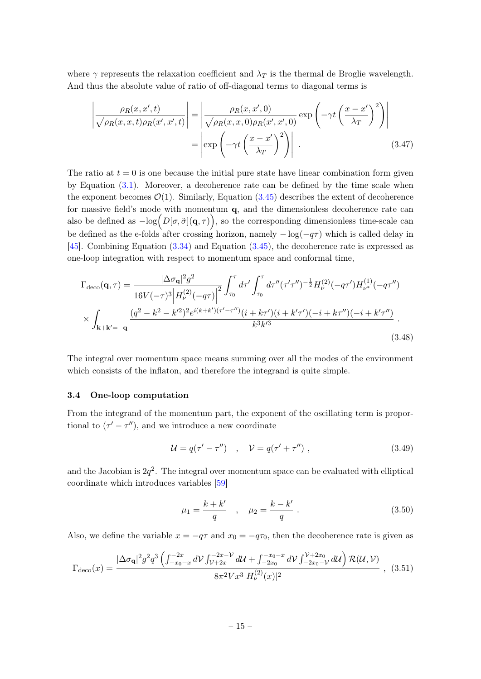where  $\gamma$  represents the relaxation coefficient and  $\lambda_T$  is the thermal de Broglie wavelength. And thus the absolute value of ratio of off-diagonal terms to diagonal terms is

$$
\left| \frac{\rho_R(x, x', t)}{\sqrt{\rho_R(x, x, t)\rho_R(x', x', t)}} \right| = \left| \frac{\rho_R(x, x', 0)}{\sqrt{\rho_R(x, x, 0)\rho_R(x', x', 0)}} \exp\left(-\gamma t \left(\frac{x - x'}{\lambda_T}\right)^2\right) \right|
$$

$$
= \left| \exp\left(-\gamma t \left(\frac{x - x'}{\lambda_T}\right)^2\right) \right| \,. \tag{3.47}
$$

The ratio at  $t = 0$  is one because the initial pure state have linear combination form given by Equation [\(3.1\)](#page-7-3). Moreover, a decoherence rate can be defined by the time scale when the exponent becomes  $\mathcal{O}(1)$ . Similarly, Equation  $(3.45)$  describes the extent of decoherence for massive field's mode with momentum  $q$ , and the dimensionless decoherence rate can also be defined as  $-\log(D[\sigma,\tilde{\sigma}](\mathbf{q},\tau))$ , so the corresponding dimensionless time-scale can be defined as the e-folds after crossing horizon, namely  $-\log(-q\tau)$  which is called delay in [\[45\]](#page-25-7). Combining Equation [\(3.34\)](#page-12-0) and Equation [\(3.45\)](#page-14-2), the decoherence rate is expressed as one-loop integration with respect to momentum space and conformal time,

$$
\Gamma_{\text{deco}}(\mathbf{q},\tau) = \frac{|\Delta\sigma_{\mathbf{q}}|^2 g^2}{16V(-\tau)^3 \left| H_{\nu}^{(2)}(-q\tau) \right|^2} \int_{\tau_0}^{\tau} d\tau' \int_{\tau_0}^{\tau} d\tau''(\tau'\tau'')^{-\frac{1}{2}} H_{\nu}^{(2)}(-q\tau') H_{\nu^*}^{(1)}(-q\tau'')
$$
\n
$$
\times \int_{\mathbf{k}+\mathbf{k}'=-\mathbf{q}} \frac{(q^2-k^2-k'^2)^2 e^{i(k+k')( \tau'-\tau'')} (i+k\tau')(i+k'\tau') (-i+k\tau'') (-i+k'\tau'')}{k^3 k'^3}.
$$
\n(3.48)

The integral over momentum space means summing over all the modes of the environment which consists of the inflaton, and therefore the integrand is quite simple.

## <span id="page-15-0"></span>3.4 One-loop computation

From the integrand of the momentum part, the exponent of the oscillating term is proportional to  $(\tau' - \tau'')$ , and we introduce a new coordinate

<span id="page-15-1"></span>
$$
\mathcal{U} = q(\tau' - \tau'') \quad , \quad \mathcal{V} = q(\tau' + \tau'') \tag{3.49}
$$

and the Jacobian is  $2q^2$ . The integral over momentum space can be evaluated with elliptical coordinate which introduces variables [\[59\]](#page-25-19)

$$
\mu_1 = \frac{k + k'}{q} \quad , \quad \mu_2 = \frac{k - k'}{q} \ . \tag{3.50}
$$

Also, we define the variable  $x = -q\tau$  and  $x_0 = -q\tau_0$ , then the decoherence rate is given as

$$
\Gamma_{\text{deco}}(x) = \frac{|\Delta \sigma_{\mathbf{q}}|^2 g^2 q^3 \left( \int_{-x_0-x}^{-2x} dV \int_{\mathcal{V}+2x}^{-2x-\mathcal{V}} dU + \int_{-2x_0}^{-x_0-x} dV \int_{-2x_0-\mathcal{V}}^{\mathcal{V}+2x_0} dU \right) \mathcal{R}(U,\mathcal{V})}{8\pi^2 V x^3 |H_{\nu}^{(2)}(x)|^2} , \quad (3.51)
$$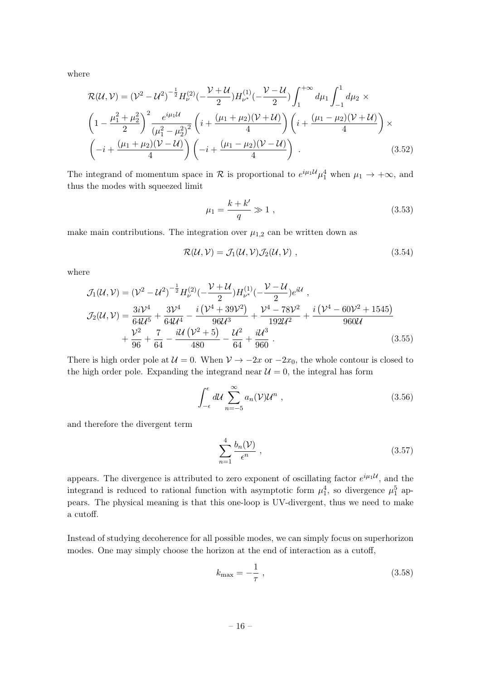where

$$
\mathcal{R}(\mathcal{U}, \mathcal{V}) = (\mathcal{V}^{2} - \mathcal{U}^{2})^{-\frac{1}{2}} H_{\mathcal{V}}^{(2)}(-\frac{\mathcal{V} + \mathcal{U}}{2}) H_{\mathcal{V}^{*}}^{(1)}(-\frac{\mathcal{V} - \mathcal{U}}{2}) \int_{1}^{+\infty} d\mu_{1} \int_{-1}^{1} d\mu_{2} \times
$$
\n
$$
\left(1 - \frac{\mu_{1}^{2} + \mu_{2}^{2}}{2}\right)^{2} \frac{e^{i\mu_{1} \mathcal{U}}}{(\mu_{1}^{2} - \mu_{2}^{2})^{2}} \left(i + \frac{(\mu_{1} + \mu_{2})(\mathcal{V} + \mathcal{U})}{4}\right) \left(i + \frac{(\mu_{1} - \mu_{2})(\mathcal{V} + \mathcal{U})}{4}\right) \times
$$
\n
$$
\left(-i + \frac{(\mu_{1} + \mu_{2})(\mathcal{V} - \mathcal{U})}{4}\right) \left(-i + \frac{(\mu_{1} - \mu_{2})(\mathcal{V} - \mathcal{U})}{4}\right). \tag{3.52}
$$

The integrand of momentum space in  $\mathcal R$  is proportional to  $e^{i\mu_1 \mathcal{U}} \mu_1^4$  when  $\mu_1 \to +\infty$ , and thus the modes with squeezed limit

$$
\mu_1 = \frac{k + k'}{q} \gg 1 \,, \tag{3.53}
$$

make main contributions. The integration over  $\mu_{1,2}$  can be written down as

$$
\mathcal{R}(\mathcal{U}, \mathcal{V}) = \mathcal{J}_1(\mathcal{U}, \mathcal{V}) \mathcal{J}_2(\mathcal{U}, \mathcal{V}) , \qquad (3.54)
$$

where

$$
\mathcal{J}_{1}(\mathcal{U}, \mathcal{V}) = (\mathcal{V}^{2} - \mathcal{U}^{2})^{-\frac{1}{2}} H_{\nu}^{(2)}(-\frac{\mathcal{V} + \mathcal{U}}{2}) H_{\nu^{*}}^{(1)}(-\frac{\mathcal{V} - \mathcal{U}}{2}) e^{i\mathcal{U}},
$$
\n
$$
\mathcal{J}_{2}(\mathcal{U}, \mathcal{V}) = \frac{3i\mathcal{V}^{4}}{64\mathcal{U}^{5}} + \frac{3\mathcal{V}^{4}}{64\mathcal{U}^{4}} - \frac{i(\mathcal{V}^{4} + 39\mathcal{V}^{2})}{96\mathcal{U}^{3}} + \frac{\mathcal{V}^{4} - 78\mathcal{V}^{2}}{192\mathcal{U}^{2}} + \frac{i(\mathcal{V}^{4} - 60\mathcal{V}^{2} + 1545)}{960\mathcal{U}} + \frac{\mathcal{V}^{2}}{96} + \frac{7}{64} - \frac{i\mathcal{U}(\mathcal{V}^{2} + 5)}{480} - \frac{\mathcal{U}^{2}}{64} + \frac{i\mathcal{U}^{3}}{960}.
$$
\n(3.55)

There is high order pole at  $U = 0$ . When  $V \to -2x$  or  $-2x_0$ , the whole contour is closed to the high order pole. Expanding the integrand near  $\mathcal{U}=0$ , the integral has form

$$
\int_{-\epsilon}^{\epsilon} d\mathcal{U} \sum_{n=-5}^{\infty} a_n(\mathcal{V}) \mathcal{U}^n , \qquad (3.56)
$$

and therefore the divergent term

$$
\sum_{n=1}^{4} \frac{b_n(\mathcal{V})}{\epsilon^n} , \qquad (3.57)
$$

appears. The divergence is attributed to zero exponent of oscillating factor  $e^{i\mu_1 U}$ , and the integrand is reduced to rational function with asymptotic form  $\mu_1^4$ , so divergence  $\mu_1^5$  appears. The physical meaning is that this one-loop is UV-divergent, thus we need to make a cutoff.

Instead of studying decoherence for all possible modes, we can simply focus on superhorizon modes. One may simply choose the horizon at the end of interaction as a cutoff,

$$
k_{\text{max}} = -\frac{1}{\tau} \,,\tag{3.58}
$$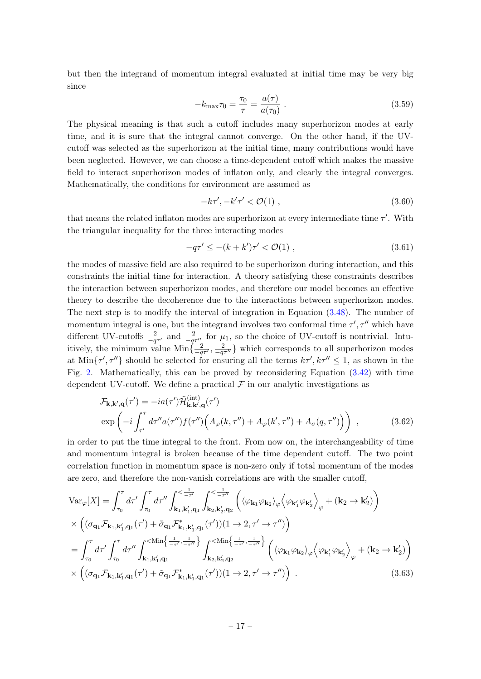but then the integrand of momentum integral evaluated at initial time may be very big since

$$
-k_{\max}\tau_0 = \frac{\tau_0}{\tau} = \frac{a(\tau)}{a(\tau_0)}.
$$
\n(3.59)

The physical meaning is that such a cutoff includes many superhorizon modes at early time, and it is sure that the integral cannot converge. On the other hand, if the UVcutoff was selected as the superhorizon at the initial time, many contributions would have been neglected. However, we can choose a time-dependent cutoff which makes the massive field to interact superhorizon modes of inflaton only, and clearly the integral converges. Mathematically, the conditions for environment are assumed as

$$
-k\tau', -k'\tau' < \mathcal{O}(1) \tag{3.60}
$$

that means the related inflaton modes are superhorizon at every intermediate time  $\tau'$ . With the triangular inequality for the three interacting modes

$$
-q\tau' \le -(k+k')\tau' < \mathcal{O}(1) , \qquad (3.61)
$$

the modes of massive field are also required to be superhorizon during interaction, and this constraints the initial time for interaction. A theory satisfying these constraints describes the interaction between superhorizon modes, and therefore our model becomes an effective theory to describe the decoherence due to the interactions between superhorizon modes. The next step is to modify the interval of integration in Equation [\(3.48\)](#page-15-1). The number of momentum integral is one, but the integrand involves two conformal time  $\tau', \tau''$  which have different UV-cutoffs  $\frac{2}{-q\tau'}$  and  $\frac{2}{-q\tau''}$  for  $\mu_1$ , so the choice of UV-cutoff is nontrivial. Intuitively, the minimum value  $\text{Min}\{\frac{2}{-q\tau'}, \frac{2}{-q\tau''}\}\$  which corresponds to all superhorizon modes at  $\text{Min}\{\tau', \tau''\}$  should be selected for ensuring all the terms  $k\tau', k\tau'' \leq 1$ , as shown in the Fig. [2.](#page-18-0) Mathematically, this can be proved by reconsidering Equation [\(3.42\)](#page-14-3) with time dependent UV-cutoff. We define a practical  $\mathcal F$  in our analytic investigations as

$$
\mathcal{F}_{\mathbf{k},\mathbf{k}',\mathbf{q}}(\tau') = -ia(\tau')\tilde{\mathcal{H}}_{\mathbf{k},\mathbf{k}',\mathbf{q}}^{(\text{int})}(\tau')
$$
  
\n
$$
\exp\left(-i\int_{\tau'}^{\tau} d\tau'' a(\tau'') f(\tau'') \Big( A_{\varphi}(k,\tau'') + A_{\varphi}(k',\tau'') + A_{\sigma}(q,\tau'') \Big) \right) ,
$$
\n(3.62)

in order to put the time integral to the front. From now on, the interchangeability of time and momentum integral is broken because of the time dependent cutoff. The two point correlation function in momentum space is non-zero only if total momentum of the modes are zero, and therefore the non-vanish correlations are with the smaller cutoff,

$$
\begin{split}\n\text{Var}_{\varphi}[X] &= \int_{\tau_0}^{\tau} d\tau' \int_{\tau_0}^{\tau} d\tau'' \int_{\mathbf{k}_1, \mathbf{k}_1', \mathbf{q}_1}^{<\frac{1}{-\tau'}} \int_{\mathbf{k}_2, \mathbf{k}_2', \mathbf{q}_2}^{<\frac{1}{-\tau''}} \left( \langle \varphi_{\mathbf{k}_1} \varphi_{\mathbf{k}_2} \rangle_{\varphi} \langle \varphi_{\mathbf{k}_1'} \varphi_{\mathbf{k}_2'} \rangle_{\varphi} + (\mathbf{k}_2 \to \mathbf{k}_2') \right) \\
&\times \left( (\sigma_{\mathbf{q}_1} \mathcal{F}_{\mathbf{k}_1, \mathbf{k}_1', \mathbf{q}_1}(\tau') + \tilde{\sigma}_{\mathbf{q}_1} \mathcal{F}_{\mathbf{k}_1, \mathbf{k}_1', \mathbf{q}_1}^* (\tau')) (1 \to 2, \tau' \to \tau'') \right) \\
&= \int_{\tau_0}^{\tau} d\tau' \int_{\tau_0}^{\tau} d\tau'' \int_{\mathbf{k}_1, \mathbf{k}_1', \mathbf{q}_1}^{<\mathrm{Min}\left\{ \frac{1}{-\tau'}, \frac{1}{-\tau''} \right\}} \int_{\mathbf{k}_2, \mathbf{k}_2', \mathbf{q}_2}^{<\mathrm{Min}\left\{ \frac{1}{-\tau'}, \frac{1}{-\tau''} \right\}} \left( \langle \varphi_{\mathbf{k}_1} \varphi_{\mathbf{k}_2} \rangle_{\varphi} \langle \varphi_{\mathbf{k}_1'} \varphi_{\mathbf{k}_2'} \rangle_{\varphi} + (\mathbf{k}_2 \to \mathbf{k}_2') \right) \\
&\times \left( (\sigma_{\mathbf{q}_1} \mathcal{F}_{\mathbf{k}_1, \mathbf{k}_1', \mathbf{q}_1}(\tau') + \tilde{\sigma}_{\mathbf{q}_1} \mathcal{F}_{\mathbf{k}_1, \mathbf{k}_1', \mathbf{q}_1}^* (\tau')) (1 \to 2, \tau' \to \tau'') \right) . \end{split} \tag{3.63}
$$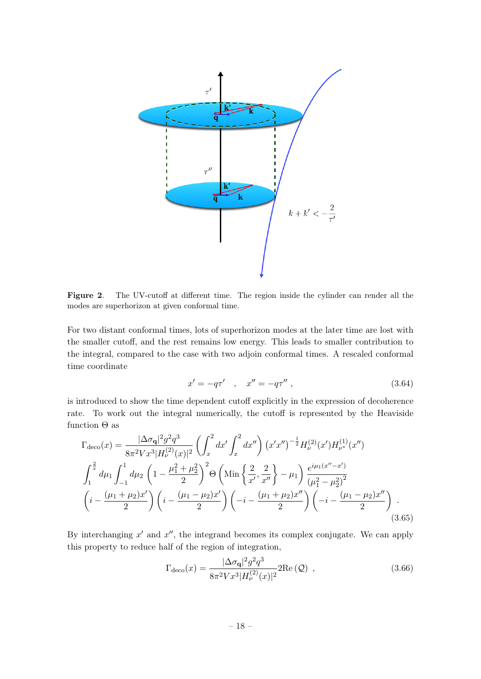

<span id="page-18-0"></span>Figure 2. The UV-cutoff at different time. The region inside the cylinder can render all the modes are superhorizon at given conformal time.

For two distant conformal times, lots of superhorizon modes at the later time are lost with the smaller cutoff, and the rest remains low energy. This leads to smaller contribution to the integral, compared to the case with two adjoin conformal times. A rescaled conformal time coordinate

$$
x' = -q\tau' \quad , \quad x'' = -q\tau'' \; , \tag{3.64}
$$

is introduced to show the time dependent cutoff explicitly in the expression of decoherence rate. To work out the integral numerically, the cutoff is represented by the Heaviside function  $\Theta$  as

$$
\Gamma_{\text{deco}}(x) = \frac{|\Delta \sigma_{\mathbf{q}}|^2 g^2 q^3}{8\pi^2 V x^3 |H_{\nu}^{(2)}(x)|^2} \left( \int_x^2 dx' \int_x^2 dx'' \right) (x' x'')^{-\frac{1}{2}} H_{\nu}^{(2)}(x') H_{\nu^*}^{(1)}(x'') \n\int_1^{\frac{2}{x}} d\mu_1 \int_{-1}^1 d\mu_2 \left( 1 - \frac{\mu_1^2 + \mu_2^2}{2} \right)^2 \Theta \left( \text{Min}\left\{ \frac{2}{x'}, \frac{2}{x''} \right\} - \mu_1 \right) \frac{e^{i\mu_1 (x'' - x')}}{(\mu_1^2 - \mu_2^2)^2} \n\left( i - \frac{(\mu_1 + \mu_2)x'}{2} \right) \left( i - \frac{(\mu_1 - \mu_2)x'}{2} \right) \left( -i - \frac{(\mu_1 + \mu_2)x''}{2} \right) \left( -i - \frac{(\mu_1 - \mu_2)x''}{2} \right) .
$$
\n(3.65)

By interchanging  $x'$  and  $x''$ , the integrand becomes its complex conjugate. We can apply this property to reduce half of the region of integration,

$$
\Gamma_{\text{deco}}(x) = \frac{|\Delta \sigma_{\mathbf{q}}|^2 g^2 q^3}{8\pi^2 V x^3 |H_{\nu}^{(2)}(x)|^2} 2\text{Re}(\mathcal{Q}) \tag{3.66}
$$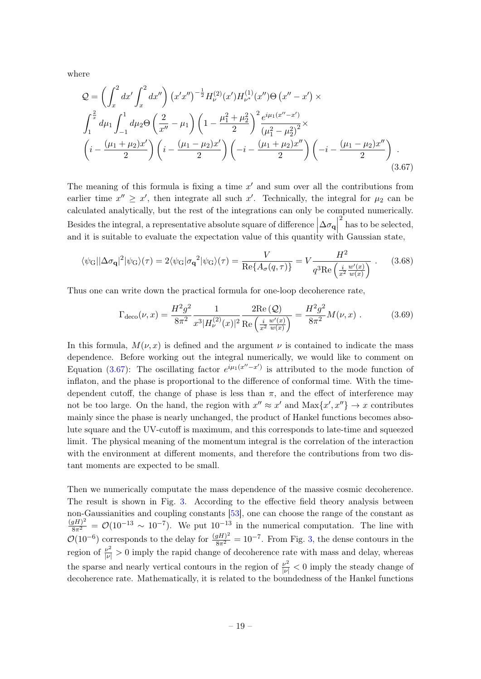where

$$
Q = \left(\int_{x}^{2} dx' \int_{x}^{2} dx''\right) (x'x'')^{-\frac{1}{2}} H_{\nu}^{(2)}(x') H_{\nu^*}^{(1)}(x'') \Theta (x'' - x') \times
$$
  

$$
\int_{1}^{\frac{2}{x}} d\mu_{1} \int_{-1}^{1} d\mu_{2} \Theta \left(\frac{2}{x''} - \mu_{1}\right) \left(1 - \frac{\mu_{1}^{2} + \mu_{2}^{2}}{2}\right)^{2} \frac{e^{i\mu_{1}(x'' - x')}}{(\mu_{1}^{2} - \mu_{2}^{2})^{2}} \times
$$
  

$$
\left(i - \frac{(\mu_{1} + \mu_{2})x'}{2}\right) \left(i - \frac{(\mu_{1} - \mu_{2})x'}{2}\right) \left(-i - \frac{(\mu_{1} + \mu_{2})x''}{2}\right) \left(-i - \frac{(\mu_{1} - \mu_{2})x''}{2}\right) .
$$
  
(3.67)

The meaning of this formula is fixing a time  $x'$  and sum over all the contributions from earlier time  $x'' \geq x'$ , then integrate all such x'. Technically, the integral for  $\mu_2$  can be calculated analytically, but the rest of the integrations can only be computed numerically. Besides the integral, a representative absolute square of difference  $\left|\Delta \sigma_{\bf q}\right|$ and it is suitable to evaluate the expectation value of this quantity with Gaussian state,  $\sum_{k=1}^{2}$  has to be selected,

$$
\langle \psi_G | \Delta \sigma_\mathbf{q} |^2 | \psi_G \rangle(\tau) = 2 \langle \psi_G | \sigma_\mathbf{q}^2 | \psi_G \rangle(\tau) = \frac{V}{\text{Re}\{A_\sigma(q,\tau)\}} = V \frac{H^2}{q^3 \text{Re}\left(\frac{i}{x^2} \frac{w'(x)}{w(x)}\right)} . \tag{3.68}
$$

Thus one can write down the practical formula for one-loop decoherence rate,

<span id="page-19-1"></span><span id="page-19-0"></span>
$$
\Gamma_{\text{deco}}(\nu, x) = \frac{H^2 g^2}{8\pi^2} \frac{1}{x^3 |H_{\nu}^{(2)}(x)|^2} \frac{2 \text{Re}\left(Q\right)}{\text{Re}\left(\frac{i}{x^2} \frac{w'(x)}{w(x)}\right)} = \frac{H^2 g^2}{8\pi^2} M(\nu, x) . \tag{3.69}
$$

In this formula,  $M(\nu, x)$  is defined and the argument  $\nu$  is contained to indicate the mass dependence. Before working out the integral numerically, we would like to comment on Equation [\(3.67\)](#page-19-0): The oscillating factor  $e^{i\mu_1(x''-x')}$  is attributed to the mode function of inflaton, and the phase is proportional to the difference of conformal time. With the timedependent cutoff, the change of phase is less than  $\pi$ , and the effect of interference may not be too large. On the hand, the region with  $x'' \approx x'$  and  $\text{Max}\{x', x''\} \to x$  contributes mainly since the phase is nearly unchanged, the product of Hankel functions becomes absolute square and the UV-cutoff is maximum, and this corresponds to late-time and squeezed limit. The physical meaning of the momentum integral is the correlation of the interaction with the environment at different moments, and therefore the contributions from two distant moments are expected to be small.

Then we numerically computate the mass dependence of the massive cosmic decoherence. The result is shown in Fig. [3.](#page-20-1) According to the effective field theory analysis between non-Gaussianities and coupling constants [\[53\]](#page-25-11), one can choose the range of the constant as  $\frac{(gH)^2}{8\pi^2} = \mathcal{O}(10^{-13} \sim 10^{-7})$ . We put  $10^{-13}$  in the numerical computation. The line with  $\mathcal{O}(10^{-6})$  corresponds to the delay for  $\frac{(gH)^2}{8\pi^2} = 10^{-7}$ . From Fig. [3,](#page-20-1) the dense contours in the region of  $\frac{\nu^2}{|\nu|} > 0$  imply the rapid change of decoherence rate with mass and delay, whereas the sparse and nearly vertical contours in the region of  $\frac{\nu^2}{|\nu|} < 0$  imply the steady change of decoherence rate. Mathematically, it is related to the boundedness of the Hankel functions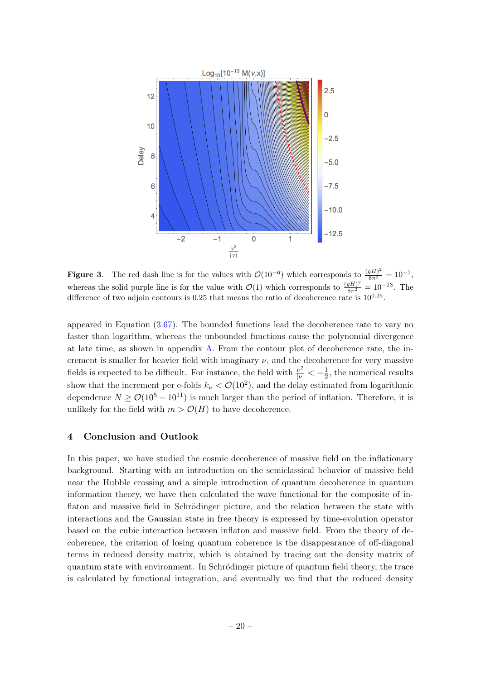

<span id="page-20-1"></span>**Figure 3.** The red dash line is for the values with  $\mathcal{O}(10^{-6})$  which corresponds to  $\frac{(gH)^2}{8\pi^2} = 10^{-7}$ , whereas the solid purple line is for the value with  $\mathcal{O}(1)$  which corresponds to  $\frac{(gH)^2}{8\pi^2} = 10^{-13}$ . The difference of two adjoin contours is  $0.25$  that means the ratio of decoherence rate is  $10^{0.25}$ .

appeared in Equation [\(3.67\)](#page-19-0). The bounded functions lead the decoherence rate to vary no faster than logarithm, whereas the unbounded functions cause the polynomial divergence at late time, as shown in appendix [A.](#page-22-0) From the contour plot of decoherence rate, the increment is smaller for heavier field with imaginary  $\nu$ , and the decoherence for very massive fields is expected to be difficult. For instance, the field with  $\frac{\nu^2}{|\nu|} < -\frac{1}{2}$  $\frac{1}{2}$ , the numerical results show that the increment per e-folds  $k_{\nu} < \mathcal{O}(10^2)$ , and the delay estimated from logarithmic dependence  $N \geq \mathcal{O}(10^5 - 10^{11})$  is much larger than the period of inflation. Therefore, it is unlikely for the field with  $m > \mathcal{O}(H)$  to have decoherence.

# <span id="page-20-0"></span>4 Conclusion and Outlook

In this paper, we have studied the cosmic decoherence of massive field on the inflationary background. Starting with an introduction on the semiclassical behavior of massive field near the Hubble crossing and a simple introduction of quantum decoherence in quantum information theory, we have then calculated the wave functional for the composite of inflaton and massive field in Schrödinger picture, and the relation between the state with interactions and the Gaussian state in free theory is expressed by time-evolution operator based on the cubic interaction between inflaton and massive field. From the theory of decoherence, the criterion of losing quantum coherence is the disappearance of off-diagonal terms in reduced density matrix, which is obtained by tracing out the density matrix of quantum state with environment. In Schrödinger picture of quantum field theory, the trace is calculated by functional integration, and eventually we find that the reduced density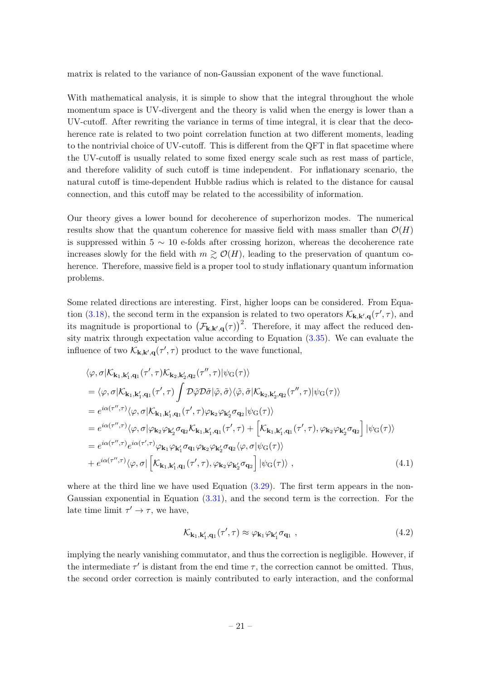matrix is related to the variance of non-Gaussian exponent of the wave functional.

With mathematical analysis, it is simple to show that the integral throughout the whole momentum space is UV-divergent and the theory is valid when the energy is lower than a UV-cutoff. After rewriting the variance in terms of time integral, it is clear that the decoherence rate is related to two point correlation function at two different moments, leading to the nontrivial choice of UV-cutoff. This is different from the QFT in flat spacetime where the UV-cutoff is usually related to some fixed energy scale such as rest mass of particle, and therefore validity of such cutoff is time independent. For inflationary scenario, the natural cutoff is time-dependent Hubble radius which is related to the distance for causal connection, and this cutoff may be related to the accessibility of information.

Our theory gives a lower bound for decoherence of superhorizon modes. The numerical results show that the quantum coherence for massive field with mass smaller than  $\mathcal{O}(H)$ is suppressed within  $5 \sim 10$  e-folds after crossing horizon, whereas the decoherence rate increases slowly for the field with  $m \gtrsim \mathcal{O}(H)$ , leading to the preservation of quantum coherence. Therefore, massive field is a proper tool to study inflationary quantum information problems.

Some related directions are interesting. First, higher loops can be considered. From Equa-tion [\(3.18\)](#page-10-1), the second term in the expansion is related to two operators  $\mathcal{K}_{\mathbf{k},\mathbf{k}',\mathbf{q}}(\tau',\tau)$ , and its magnitude is proportional to  $(\mathcal{F}_{\mathbf{k},\mathbf{k}',\mathbf{q}}(\tau))^2$ . Therefore, it may affect the reduced density matrix through expectation value according to Equation [\(3.35\)](#page-13-1). We can evaluate the influence of two  $\mathcal{K}_{\mathbf{k},\mathbf{k}',\mathbf{q}}(\tau',\tau)$  product to the wave functional,

$$
\langle \varphi, \sigma | \mathcal{K}_{\mathbf{k}_1, \mathbf{k}'_1, \mathbf{q}_1}(\tau', \tau) \mathcal{K}_{\mathbf{k}_2, \mathbf{k}'_2, \mathbf{q}_2}(\tau'', \tau) | \psi_G(\tau) \rangle
$$
  
\n
$$
= \langle \varphi, \sigma | \mathcal{K}_{\mathbf{k}_1, \mathbf{k}'_1, \mathbf{q}_1}(\tau', \tau) \int \mathcal{D} \tilde{\varphi} \mathcal{D} \tilde{\sigma} | \tilde{\varphi}, \tilde{\sigma} \rangle \langle \tilde{\varphi}, \tilde{\sigma} | \mathcal{K}_{\mathbf{k}_2, \mathbf{k}'_2, \mathbf{q}_2}(\tau'', \tau) | \psi_G(\tau) \rangle
$$
  
\n
$$
= e^{i\alpha(\tau'', \tau)} \langle \varphi, \sigma | \mathcal{K}_{\mathbf{k}_1, \mathbf{k}'_1, \mathbf{q}_1}(\tau', \tau) \varphi_{\mathbf{k}_2} \varphi_{\mathbf{k}'_2} \sigma_{\mathbf{q}_2} | \psi_G(\tau) \rangle
$$
  
\n
$$
= e^{i\alpha(\tau'', \tau)} \langle \varphi, \sigma | \varphi_{\mathbf{k}_2} \varphi_{\mathbf{k}'_2} \sigma_{\mathbf{q}_2} \mathcal{K}_{\mathbf{k}_1, \mathbf{k}'_1, \mathbf{q}_1}(\tau', \tau) + \left[ \mathcal{K}_{\mathbf{k}_1, \mathbf{k}'_1, \mathbf{q}_1}(\tau', \tau), \varphi_{\mathbf{k}_2} \varphi_{\mathbf{k}'_2} \sigma_{\mathbf{q}_2} \right] | \psi_G(\tau) \rangle
$$
  
\n
$$
= e^{i\alpha(\tau'', \tau)} e^{i\alpha(\tau', \tau)} \varphi_{\mathbf{k}_1} \varphi_{\mathbf{k}'_1} \sigma_{\mathbf{q}_1} \varphi_{\mathbf{k}_2} \varphi_{\mathbf{k}'_2} \sigma_{\mathbf{q}_2} \langle \varphi, \sigma | \psi_G(\tau) \rangle
$$
  
\n
$$
+ e^{i\alpha(\tau'', \tau)} \langle \varphi, \sigma | \left[ \mathcal{K}_{\mathbf{k}_1, \mathbf{k}'_1, \mathbf{q}_1}(\tau', \tau), \varphi_{\mathbf{k}_2} \varphi_{\mathbf{k}'_2}
$$

where at the third line we have used Equation  $(3.29)$ . The first term appears in the non-Gaussian exponential in Equation [\(3.31\)](#page-12-1), and the second term is the correction. For the late time limit  $\tau' \to \tau$ , we have,

$$
\mathcal{K}_{\mathbf{k}_1, \mathbf{k}'_1, \mathbf{q}_1}(\tau', \tau) \approx \varphi_{\mathbf{k}_1} \varphi_{\mathbf{k}'_1} \sigma_{\mathbf{q}_1} ,\qquad(4.2)
$$

implying the nearly vanishing commutator, and thus the correction is negligible. However, if the intermediate  $\tau'$  is distant from the end time  $\tau$ , the correction cannot be omitted. Thus, the second order correction is mainly contributed to early interaction, and the conformal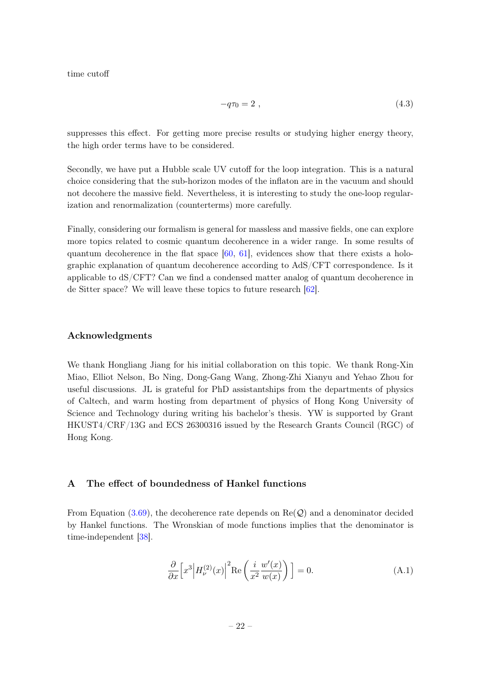time cutoff

$$
-q\tau_0 = 2 \tag{4.3}
$$

suppresses this effect. For getting more precise results or studying higher energy theory, the high order terms have to be considered.

Secondly, we have put a Hubble scale UV cutoff for the loop integration. This is a natural choice considering that the sub-horizon modes of the inflaton are in the vacuum and should not decohere the massive field. Nevertheless, it is interesting to study the one-loop regularization and renormalization (counterterms) more carefully.

Finally, considering our formalism is general for massless and massive fields, one can explore more topics related to cosmic quantum decoherence in a wider range. In some results of quantum decoherence in the flat space  $[60, 61]$  $[60, 61]$  $[60, 61]$ , evidences show that there exists a holographic explanation of quantum decoherence according to AdS/CFT correspondence. Is it applicable to dS/CFT? Can we find a condensed matter analog of quantum decoherence in de Sitter space? We will leave these topics to future research [\[62\]](#page-25-22).

## Acknowledgments

We thank Hongliang Jiang for his initial collaboration on this topic. We thank Rong-Xin Miao, Elliot Nelson, Bo Ning, Dong-Gang Wang, Zhong-Zhi Xianyu and Yehao Zhou for useful discussions. JL is grateful for PhD assistantships from the departments of physics of Caltech, and warm hosting from department of physics of Hong Kong University of Science and Technology during writing his bachelor's thesis. YW is supported by Grant HKUST4/CRF/13G and ECS 26300316 issued by the Research Grants Council (RGC) of Hong Kong.

## <span id="page-22-0"></span>A The effect of boundedness of Hankel functions

From Equation [\(3.69\)](#page-19-1), the decoherence rate depends on  $\text{Re}(\mathcal{Q})$  and a denominator decided by Hankel functions. The Wronskian of mode functions implies that the denominator is time-independent [\[38\]](#page-25-2).

$$
\frac{\partial}{\partial x} \left[ x^3 \middle| H_{\nu}^{(2)}(x) \right]^2 \text{Re} \left( \frac{i}{x^2} \frac{w'(x)}{w(x)} \right) \Big] = 0. \tag{A.1}
$$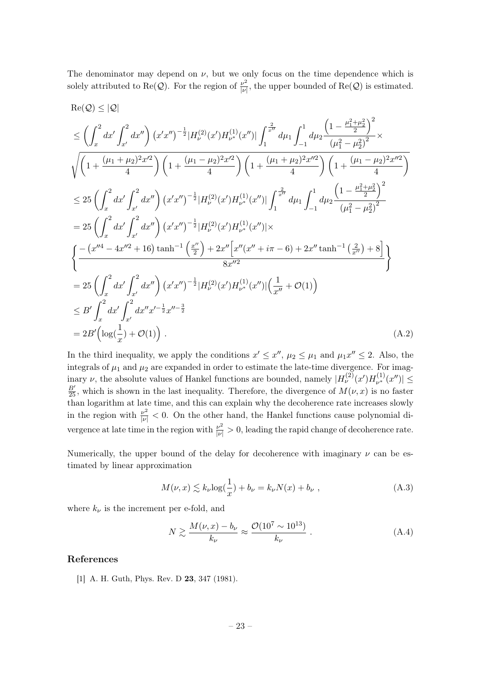The denominator may depend on  $\nu$ , but we only focus on the time dependence which is solely attributed to Re(Q). For the region of  $\frac{\nu^2}{|\nu|}$  $\frac{\nu^2}{|\nu|}$ , the upper bounded of Re(Q) is estimated.

$$
Re(Q) \leq |Q|
$$
\n
$$
\leq \left(\int_{x}^{2} dx' \int_{x'}^{2} dx''\right) (x'x'')^{-\frac{1}{2}} |H_{\nu}^{(2)}(x')H_{\nu^{*}}^{(1)}(x'')| \int_{1}^{\frac{2}{x''}} d\mu_{1} \int_{-1}^{1} d\mu_{2} \frac{\left(1 - \frac{\mu_{1}^{2} + \mu_{2}^{2}}{2}\right)^{2}}{(\mu_{1}^{2} - \mu_{2}^{2})^{2}} \times \sqrt{\left(1 + \frac{(\mu_{1} + \mu_{2})^{2}x'^{2}}{4}\right) \left(1 + \frac{(\mu_{1} - \mu_{2})^{2}x'^{2}}{4}\right) \left(1 + \frac{(\mu_{1} + \mu_{2})^{2}x''^{2}}{4}\right) \left(1 + \frac{(\mu_{1} - \mu_{2})^{2}x''^{2}}{4}\right)}
$$
\n
$$
\leq 25 \left(\int_{x}^{2} dx' \int_{x'}^{2} dx''\right) (x'x'')^{-\frac{1}{2}} |H_{\nu}^{(2)}(x')H_{\nu^{*}}^{(1)}(x'')| \int_{1}^{\frac{2}{x''}} d\mu_{1} \int_{-1}^{1} d\mu_{2} \frac{\left(1 - \frac{\mu_{1}^{2} + \mu_{2}^{2}}{2}\right)^{2}}{(\mu_{1}^{2} - \mu_{2}^{2})^{2}}
$$
\n
$$
= 25 \left(\int_{x}^{2} dx' \int_{x'}^{2} dx''\right) (x'x'')^{-\frac{1}{2}} |H_{\nu}^{(2)}(x')H_{\nu^{*}}^{(1)}(x'')| \times \left\{\frac{-(x''^{4} - 4x''^{2} + 16) \tanh^{-1} \left(\frac{x''}{2}\right) + 2x'' \left[x''(x'' + i\pi - 6) + 2x'' \tanh^{-1} \left(\frac{2}{x''}\right) + 8\right]}{8x''^{2}}\right\}
$$
\n
$$
= 25 \left(\int_{x}^{2} dx' \int_{x'}^{2} dx''\right) (x'x'')^{-\frac{1}{2}} |H_{\nu}^{(2)}(x')H_{\nu^{*}}^{(1)}(x'')| \left(\frac{1}{x''}
$$

In the third inequality, we apply the conditions  $x' \leq x''$ ,  $\mu_2 \leq \mu_1$  and  $\mu_1 x'' \leq 2$ . Also, the integrals of  $\mu_1$  and  $\mu_2$  are expanded in order to estimate the late-time divergence. For imaginary  $\nu$ , the absolute values of Hankel functions are bounded, namely  $|H_{\nu}^{(2)}(x')H_{\nu^*}^{(1)}|$  $\vert v^{(1)}(x'') \vert \leq$  $\frac{B'}{25}$ , which is shown in the last inequality. Therefore, the divergence of  $M(\nu, x)$  is no faster than logarithm at late time, and this can explain why the decoherence rate increases slowly in the region with  $\frac{\nu^2}{|\nu|} < 0$ . On the other hand, the Hankel functions cause polynomial divergence at late time in the region with  $\frac{\nu^2}{|\nu|} > 0$ , leading the rapid change of decoherence rate.

Numerically, the upper bound of the delay for decoherence with imaginary  $\nu$  can be estimated by linear approximation

$$
M(\nu, x) \lesssim k_{\nu} \log(\frac{1}{x}) + b_{\nu} = k_{\nu} N(x) + b_{\nu} , \qquad (A.3)
$$

where  $k_{\nu}$  is the increment per e-fold, and

$$
N \gtrsim \frac{M(\nu, x) - b_{\nu}}{k_{\nu}} \approx \frac{\mathcal{O}(10^7 \sim 10^{13})}{k_{\nu}} . \tag{A.4}
$$

# References

<span id="page-23-0"></span>[1] A. H. Guth, Phys. Rev. D 23, 347 (1981).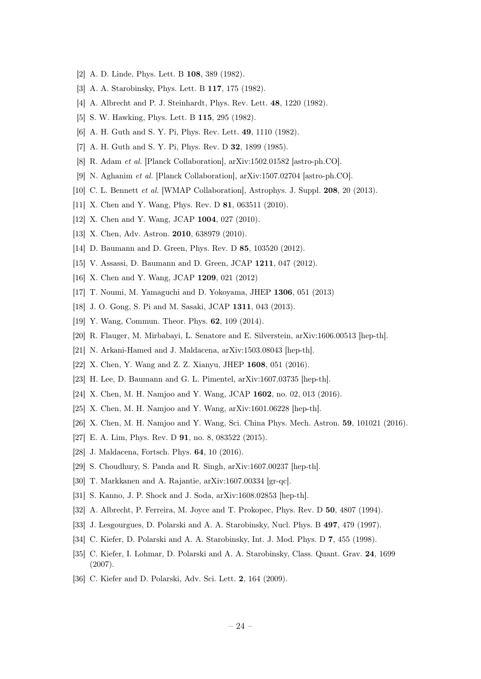- [2] A. D. Linde, Phys. Lett. B 108, 389 (1982).
- [3] A. A. Starobinsky, Phys. Lett. B 117, 175 (1982).
- [4] A. Albrecht and P. J. Steinhardt, Phys. Rev. Lett. **48**, 1220 (1982).
- [5] S. W. Hawking, Phys. Lett. B 115, 295 (1982).
- [6] A. H. Guth and S. Y. Pi, Phys. Rev. Lett. 49, 1110 (1982).
- <span id="page-24-0"></span>[7] A. H. Guth and S. Y. Pi, Phys. Rev. D **32**, 1899 (1985).
- <span id="page-24-1"></span>[8] R. Adam et al. [Planck Collaboration], arXiv:1502.01582 [astro-ph.CO].
- [9] N. Aghanim et al. [Planck Collaboration], arXiv:1507.02704 [astro-ph.CO].
- <span id="page-24-2"></span>[10] C. L. Bennett *et al.* [WMAP Collaboration], Astrophys. J. Suppl. **208**, 20 (2013).
- <span id="page-24-3"></span>[11] X. Chen and Y. Wang, Phys. Rev. D **81**, 063511 (2010).
- [12] X. Chen and Y. Wang, JCAP 1004, 027 (2010).
- [13] X. Chen, Adv. Astron. **2010**, 638979 (2010).
- [14] D. Baumann and D. Green, Phys. Rev. D 85, 103520 (2012).
- [15] V. Assassi, D. Baumann and D. Green, JCAP 1211, 047 (2012).
- [16] X. Chen and Y. Wang, JCAP 1209, 021 (2012)
- [17] T. Noumi, M. Yamaguchi and D. Yokoyama, JHEP 1306, 051 (2013)
- [18] J. O. Gong, S. Pi and M. Sasaki, JCAP 1311, 043 (2013).
- <span id="page-24-4"></span>[19] Y. Wang, Commun. Theor. Phys. **62**, 109 (2014).
- <span id="page-24-5"></span>[20] R. Flauger, M. Mirbabayi, L. Senatore and E. Silverstein, arXiv:1606.00513 [hep-th].
- <span id="page-24-6"></span>[21] N. Arkani-Hamed and J. Maldacena, arXiv:1503.08043 [hep-th].
- [22] X. Chen, Y. Wang and Z. Z. Xianyu, JHEP 1608, 051 (2016).
- <span id="page-24-7"></span>[23] H. Lee, D. Baumann and G. L. Pimentel, arXiv:1607.03735 [hep-th].
- <span id="page-24-8"></span>[24] X. Chen, M. H. Namjoo and Y. Wang, JCAP 1602, no. 02, 013 (2016).
- [25] X. Chen, M. H. Namjoo and Y. Wang, arXiv:1601.06228 [hep-th].
- <span id="page-24-9"></span>[26] X. Chen, M. H. Namjoo and Y. Wang, Sci. China Phys. Mech. Astron. 59, 101021 (2016).
- <span id="page-24-10"></span>[27] E. A. Lim, Phys. Rev. D 91, no. 8, 083522 (2015).
- [28] J. Maldacena, Fortsch. Phys. **64**, 10 (2016).
- [29] S. Choudhury, S. Panda and R. Singh, arXiv:1607.00237 [hep-th].
- [30] T. Markkanen and A. Rajantie, arXiv:1607.00334 [gr-qc].
- <span id="page-24-11"></span>[31] S. Kanno, J. P. Shock and J. Soda, arXiv:1608.02853 [hep-th].
- <span id="page-24-12"></span>[32] A. Albrecht, P. Ferreira, M. Joyce and T. Prokopec, Phys. Rev. D 50, 4807 (1994).
- <span id="page-24-15"></span>[33] J. Lesgourgues, D. Polarski and A. A. Starobinsky, Nucl. Phys. B 497, 479 (1997).
- <span id="page-24-13"></span>[34] C. Kiefer, D. Polarski and A. A. Starobinsky, Int. J. Mod. Phys. D 7, 455 (1998).
- <span id="page-24-14"></span>[35] C. Kiefer, I. Lohmar, D. Polarski and A. A. Starobinsky, Class. Quant. Grav. 24, 1699 (2007).
- <span id="page-24-16"></span>[36] C. Kiefer and D. Polarski, Adv. Sci. Lett. 2, 164 (2009).